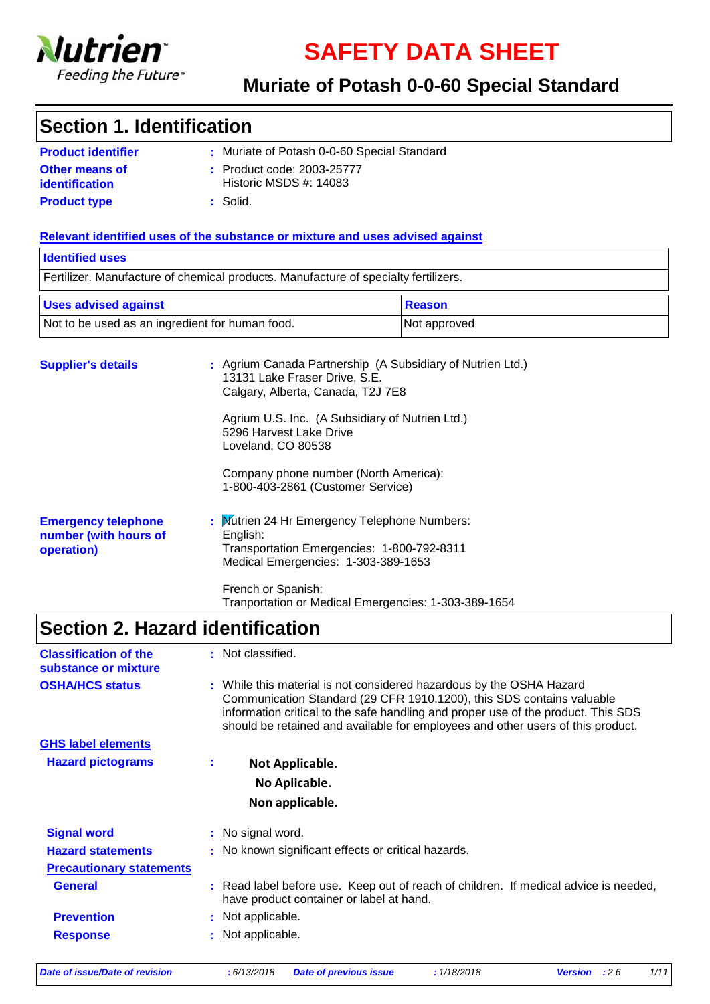

**SAFETY DATA SHEET**

### **Muriate of Potash 0-0-60 Special Standard**

### **Section 1. Identification**

| <b>Product identifier</b> | : Muriate of Potash 0-0-60 Special Standard |
|---------------------------|---------------------------------------------|
| Other means of            | : Product code: 2003-25777                  |
| identification            | Historic MSDS $#: 14083$                    |
| <b>Product type</b>       | $\pm$ Solid.                                |

#### **Relevant identified uses of the substance or mixture and uses advised against**

| <b>Identified uses</b>                                                         |                                                                                     |                                                            |  |  |  |
|--------------------------------------------------------------------------------|-------------------------------------------------------------------------------------|------------------------------------------------------------|--|--|--|
|                                                                                | Fertilizer. Manufacture of chemical products. Manufacture of specialty fertilizers. |                                                            |  |  |  |
| <b>Uses advised against</b><br>Not to be used as an ingredient for human food. |                                                                                     | <b>Reason</b>                                              |  |  |  |
|                                                                                |                                                                                     | Not approved                                               |  |  |  |
| <b>Supplier's details</b>                                                      | 13131 Lake Fraser Drive, S.E.                                                       | : Agrium Canada Partnership (A Subsidiary of Nutrien Ltd.) |  |  |  |

|                                                                   | Calgary, Alberta, Canada, T2J 7E8                                                                                                             |
|-------------------------------------------------------------------|-----------------------------------------------------------------------------------------------------------------------------------------------|
|                                                                   | Agrium U.S. Inc. (A Subsidiary of Nutrien Ltd.)<br>5296 Harvest Lake Drive<br>Loveland, CO 80538                                              |
|                                                                   | Company phone number (North America):<br>1-800-403-2861 (Customer Service)                                                                    |
| <b>Emergency telephone</b><br>number (with hours of<br>operation) | : Mutrien 24 Hr Emergency Telephone Numbers:<br>English:<br>Transportation Emergencies: 1-800-792-8311<br>Medical Emergencies: 1-303-389-1653 |
|                                                                   | French or Spanish:<br>Tranportation or Medical Emergencies: 1-303-389-1654                                                                    |

# **Section 2. Hazard identification**

| <b>Classification of the</b><br>substance or mixture |    | : Not classified.                                                                                                                                                                                                                                                                                                     |
|------------------------------------------------------|----|-----------------------------------------------------------------------------------------------------------------------------------------------------------------------------------------------------------------------------------------------------------------------------------------------------------------------|
| <b>OSHA/HCS status</b>                               |    | : While this material is not considered hazardous by the OSHA Hazard<br>Communication Standard (29 CFR 1910.1200), this SDS contains valuable<br>information critical to the safe handling and proper use of the product. This SDS<br>should be retained and available for employees and other users of this product. |
| <b>GHS label elements</b>                            |    |                                                                                                                                                                                                                                                                                                                       |
| <b>Hazard pictograms</b>                             | ÷. | Not Applicable.                                                                                                                                                                                                                                                                                                       |
|                                                      |    | No Aplicable.                                                                                                                                                                                                                                                                                                         |
|                                                      |    | Non applicable.                                                                                                                                                                                                                                                                                                       |
| <b>Signal word</b>                                   |    | : No signal word.                                                                                                                                                                                                                                                                                                     |
| <b>Hazard statements</b>                             |    | : No known significant effects or critical hazards.                                                                                                                                                                                                                                                                   |
| <b>Precautionary statements</b>                      |    |                                                                                                                                                                                                                                                                                                                       |
| <b>General</b>                                       |    | : Read label before use. Keep out of reach of children. If medical advice is needed,<br>have product container or label at hand.                                                                                                                                                                                      |
| <b>Prevention</b>                                    |    | : Not applicable.                                                                                                                                                                                                                                                                                                     |
| <b>Response</b>                                      |    | : Not applicable.                                                                                                                                                                                                                                                                                                     |

*Date of issue/Date of revision* **:** *6/13/2018 Date of previous issue : 1/18/2018 Version : 2.6 1/11*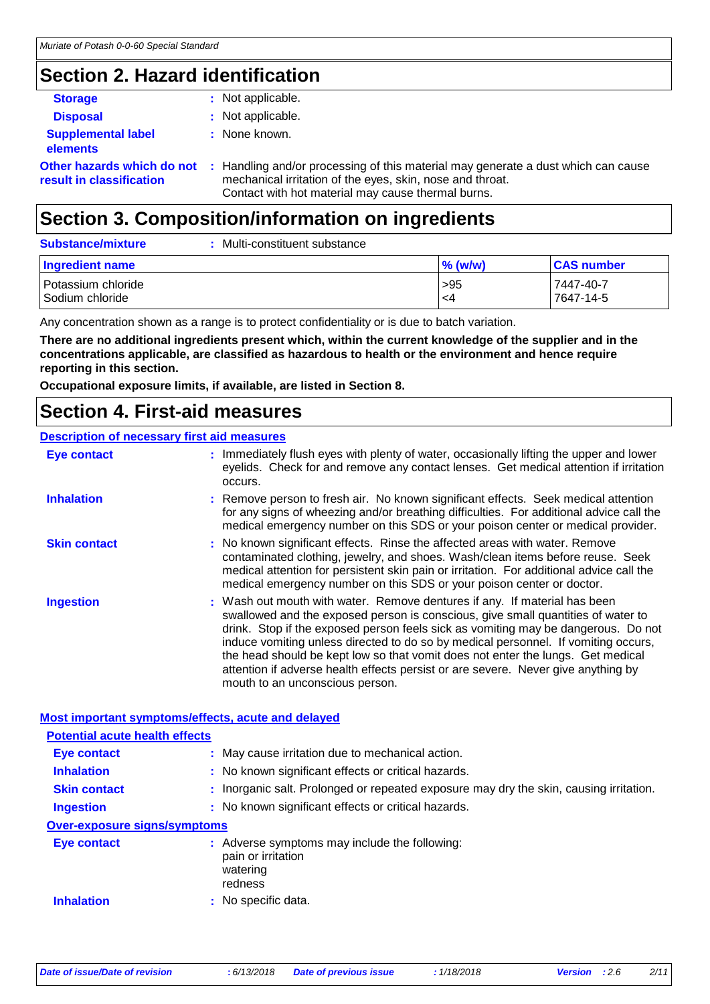# **Section 2. Hazard identification**

| <b>Storage</b>                                         | : Not applicable.                                                                                                                                                                                    |
|--------------------------------------------------------|------------------------------------------------------------------------------------------------------------------------------------------------------------------------------------------------------|
| <b>Disposal</b>                                        | : Not applicable.                                                                                                                                                                                    |
| <b>Supplemental label</b><br><b>elements</b>           | : None known.                                                                                                                                                                                        |
| Other hazards which do not<br>result in classification | : Handling and/or processing of this material may generate a dust which can cause<br>mechanical irritation of the eyes, skin, nose and throat.<br>Contact with hot material may cause thermal burns. |

# **Section 3. Composition/information on ingredients**

| <b>Substance/mixture</b>              | Multi-constituent substance |            |                        |
|---------------------------------------|-----------------------------|------------|------------------------|
| Ingredient name                       |                             | $\%$ (w/w) | <b>CAS number</b>      |
| Potassium chloride<br>Sodium chloride |                             | >95<br>-4  | 7447-40-7<br>7647-14-5 |

Any concentration shown as a range is to protect confidentiality or is due to batch variation.

**There are no additional ingredients present which, within the current knowledge of the supplier and in the concentrations applicable, are classified as hazardous to health or the environment and hence require reporting in this section.**

**Occupational exposure limits, if available, are listed in Section 8.**

### **Section 4. First-aid measures**

#### **Description of necessary first aid measures**

| <b>Eye contact</b>  | : Immediately flush eyes with plenty of water, occasionally lifting the upper and lower<br>eyelids. Check for and remove any contact lenses. Get medical attention if irritation<br>occurs.                                                                                                                                                                                                                                                                                                                                                         |
|---------------------|-----------------------------------------------------------------------------------------------------------------------------------------------------------------------------------------------------------------------------------------------------------------------------------------------------------------------------------------------------------------------------------------------------------------------------------------------------------------------------------------------------------------------------------------------------|
| <b>Inhalation</b>   | : Remove person to fresh air. No known significant effects. Seek medical attention<br>for any signs of wheezing and/or breathing difficulties. For additional advice call the<br>medical emergency number on this SDS or your poison center or medical provider.                                                                                                                                                                                                                                                                                    |
| <b>Skin contact</b> | : No known significant effects. Rinse the affected areas with water. Remove<br>contaminated clothing, jewelry, and shoes. Wash/clean items before reuse. Seek<br>medical attention for persistent skin pain or irritation. For additional advice call the<br>medical emergency number on this SDS or your poison center or doctor.                                                                                                                                                                                                                  |
| <b>Ingestion</b>    | : Wash out mouth with water. Remove dentures if any. If material has been<br>swallowed and the exposed person is conscious, give small quantities of water to<br>drink. Stop if the exposed person feels sick as vomiting may be dangerous. Do not<br>induce vomiting unless directed to do so by medical personnel. If vomiting occurs,<br>the head should be kept low so that vomit does not enter the lungs. Get medical<br>attention if adverse health effects persist or are severe. Never give anything by<br>mouth to an unconscious person. |

#### **Most important symptoms/effects, acute and delayed**

| <b>Potential acute health effects</b> |                                                                                            |
|---------------------------------------|--------------------------------------------------------------------------------------------|
| <b>Eye contact</b>                    | : May cause irritation due to mechanical action.                                           |
| <b>Inhalation</b>                     | : No known significant effects or critical hazards.                                        |
| <b>Skin contact</b>                   | : Inorganic salt. Prolonged or repeated exposure may dry the skin, causing irritation.     |
| <b>Ingestion</b>                      | : No known significant effects or critical hazards.                                        |
| <b>Over-exposure signs/symptoms</b>   |                                                                                            |
| Eye contact                           | : Adverse symptoms may include the following:<br>pain or irritation<br>watering<br>redness |
| <b>Inhalation</b>                     | : No specific data.                                                                        |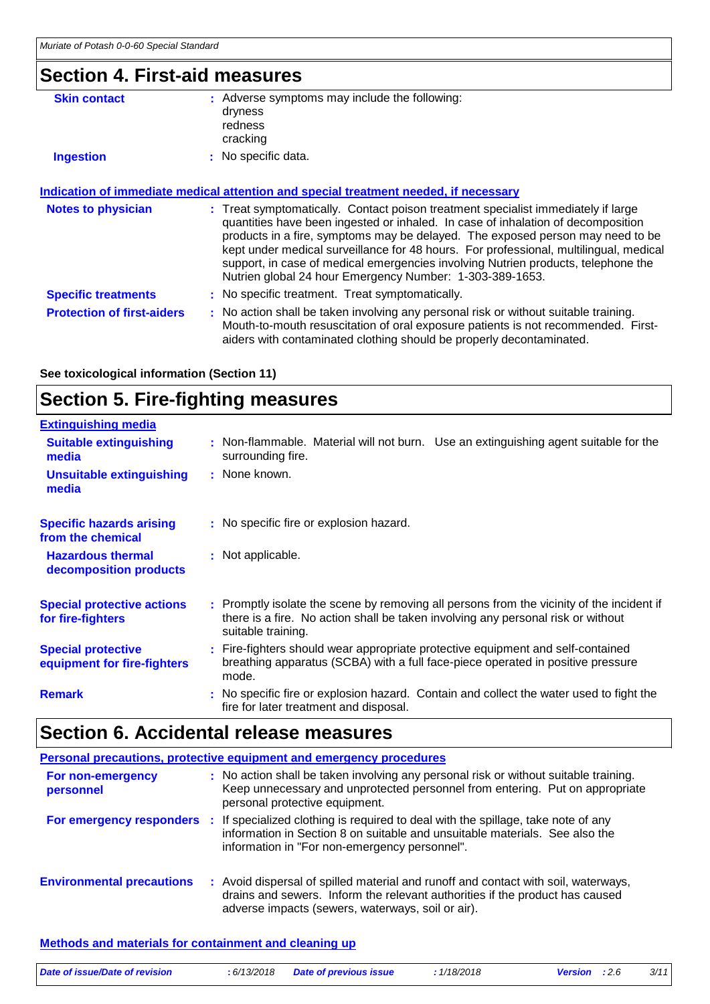### **Section 4. First-aid measures**

| <b>Skin contact</b>        | : Adverse symptoms may include the following:<br>dryness<br>redness<br>cracking                                                                                                                                                                                                                                                                                                                                                                                                                   |
|----------------------------|---------------------------------------------------------------------------------------------------------------------------------------------------------------------------------------------------------------------------------------------------------------------------------------------------------------------------------------------------------------------------------------------------------------------------------------------------------------------------------------------------|
| <b>Ingestion</b>           | : No specific data.                                                                                                                                                                                                                                                                                                                                                                                                                                                                               |
|                            | Indication of immediate medical attention and special treatment needed, if necessary                                                                                                                                                                                                                                                                                                                                                                                                              |
| <b>Notes to physician</b>  | : Treat symptomatically. Contact poison treatment specialist immediately if large<br>quantities have been ingested or inhaled. In case of inhalation of decomposition<br>products in a fire, symptoms may be delayed. The exposed person may need to be<br>kept under medical surveillance for 48 hours. For professional, multilingual, medical<br>support, in case of medical emergencies involving Nutrien products, telephone the<br>Nutrien global 24 hour Emergency Number: 1-303-389-1653. |
| <b>Specific treatments</b> | : No specific treatment. Treat symptomatically.                                                                                                                                                                                                                                                                                                                                                                                                                                                   |

**Protection of first-aiders** : No action shall be taken involving any personal risk or without suitable training. Mouth-to-mouth resuscitation of oral exposure patients is not recommended. Firstaiders with contaminated clothing should be properly decontaminated.

**See toxicological information (Section 11)**

# **Section 5. Fire-fighting measures**

| <b>Extinguishing media</b>                               |                                                                                                                                                                                                     |
|----------------------------------------------------------|-----------------------------------------------------------------------------------------------------------------------------------------------------------------------------------------------------|
| <b>Suitable extinguishing</b><br>media                   | : Non-flammable. Material will not burn. Use an extinguishing agent suitable for the<br>surrounding fire.                                                                                           |
| <b>Unsuitable extinguishing</b><br>media                 | : None known.                                                                                                                                                                                       |
| <b>Specific hazards arising</b><br>from the chemical     | : No specific fire or explosion hazard.                                                                                                                                                             |
| <b>Hazardous thermal</b><br>decomposition products       | : Not applicable.                                                                                                                                                                                   |
| <b>Special protective actions</b><br>for fire-fighters   | : Promptly isolate the scene by removing all persons from the vicinity of the incident if<br>there is a fire. No action shall be taken involving any personal risk or without<br>suitable training. |
| <b>Special protective</b><br>equipment for fire-fighters | : Fire-fighters should wear appropriate protective equipment and self-contained<br>breathing apparatus (SCBA) with a full face-piece operated in positive pressure<br>mode.                         |
| <b>Remark</b>                                            | : No specific fire or explosion hazard. Contain and collect the water used to fight the<br>fire for later treatment and disposal.                                                                   |

# **Section 6. Accidental release measures**

|                                  | Personal precautions, protective equipment and emergency procedures                                                                                                                                                                        |
|----------------------------------|--------------------------------------------------------------------------------------------------------------------------------------------------------------------------------------------------------------------------------------------|
| For non-emergency<br>personnel   | : No action shall be taken involving any personal risk or without suitable training.<br>Keep unnecessary and unprotected personnel from entering. Put on appropriate<br>personal protective equipment.                                     |
|                                  | For emergency responders : If specialized clothing is required to deal with the spillage, take note of any<br>information in Section 8 on suitable and unsuitable materials. See also the<br>information in "For non-emergency personnel". |
| <b>Environmental precautions</b> | : Avoid dispersal of spilled material and runoff and contact with soil, waterways,<br>drains and sewers. Inform the relevant authorities if the product has caused<br>adverse impacts (sewers, waterways, soil or air).                    |

#### **Methods and materials for containment and cleaning up**

| Date of issue/Date of revision | : 6/13/2018 Date of previous issue | 1/18/2018 | <b>Version</b> : 2.6 | 3/11 |
|--------------------------------|------------------------------------|-----------|----------------------|------|
|                                |                                    |           |                      |      |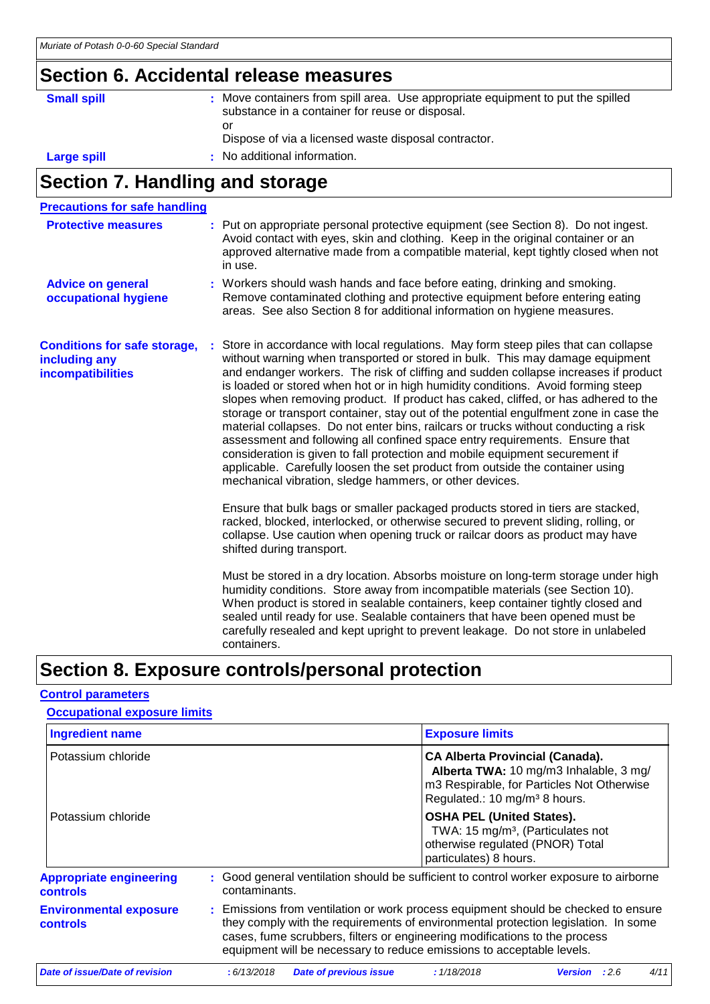# **Section 6. Accidental release measures**

| <b>Small spill</b> | Move containers from spill area. Use appropriate equipment to put the spilled<br>substance in a container for reuse or disposal. |
|--------------------|----------------------------------------------------------------------------------------------------------------------------------|
|                    | or<br>Dispose of via a licensed waste disposal contractor.                                                                       |
| <b>Large spill</b> | : No additional information.                                                                                                     |

# **Section 7. Handling and storage**

| <b>Precautions for safe handling</b>                                      |                                                                                                                                                                                                                                                                                                                                                                                                                                                                                                                                                                                                                                                                                                                                                                                                                                                                                                                                 |
|---------------------------------------------------------------------------|---------------------------------------------------------------------------------------------------------------------------------------------------------------------------------------------------------------------------------------------------------------------------------------------------------------------------------------------------------------------------------------------------------------------------------------------------------------------------------------------------------------------------------------------------------------------------------------------------------------------------------------------------------------------------------------------------------------------------------------------------------------------------------------------------------------------------------------------------------------------------------------------------------------------------------|
| <b>Protective measures</b>                                                | : Put on appropriate personal protective equipment (see Section 8). Do not ingest.<br>Avoid contact with eyes, skin and clothing. Keep in the original container or an<br>approved alternative made from a compatible material, kept tightly closed when not<br>in use.                                                                                                                                                                                                                                                                                                                                                                                                                                                                                                                                                                                                                                                         |
| <b>Advice on general</b><br>occupational hygiene                          | : Workers should wash hands and face before eating, drinking and smoking.<br>Remove contaminated clothing and protective equipment before entering eating<br>areas. See also Section 8 for additional information on hygiene measures.                                                                                                                                                                                                                                                                                                                                                                                                                                                                                                                                                                                                                                                                                          |
| <b>Conditions for safe storage,</b><br>including any<br>incompatibilities | Store in accordance with local regulations. May form steep piles that can collapse<br>without warning when transported or stored in bulk. This may damage equipment<br>and endanger workers. The risk of cliffing and sudden collapse increases if product<br>is loaded or stored when hot or in high humidity conditions. Avoid forming steep<br>slopes when removing product. If product has caked, cliffed, or has adhered to the<br>storage or transport container, stay out of the potential engulfment zone in case the<br>material collapses. Do not enter bins, railcars or trucks without conducting a risk<br>assessment and following all confined space entry requirements. Ensure that<br>consideration is given to fall protection and mobile equipment securement if<br>applicable. Carefully loosen the set product from outside the container using<br>mechanical vibration, sledge hammers, or other devices. |
|                                                                           | Ensure that bulk bags or smaller packaged products stored in tiers are stacked,<br>racked, blocked, interlocked, or otherwise secured to prevent sliding, rolling, or<br>collapse. Use caution when opening truck or railcar doors as product may have<br>shifted during transport.                                                                                                                                                                                                                                                                                                                                                                                                                                                                                                                                                                                                                                             |
|                                                                           | Must be stored in a dry location. Absorbs moisture on long-term storage under high<br>humidity conditions. Store away from incompatible materials (see Section 10).<br>When product is stored in sealable containers, keep container tightly closed and<br>sealed until ready for use. Sealable containers that have been opened must be<br>carefully resealed and kept upright to prevent leakage. Do not store in unlabeled<br>containers.                                                                                                                                                                                                                                                                                                                                                                                                                                                                                    |

## **Section 8. Exposure controls/personal protection**

#### **Control parameters**

| <b>Occupational exposure limits</b>               |                                                                                                                                                                                                                                                                                                                                 |                               |                                                                                                |                                                                                        |      |
|---------------------------------------------------|---------------------------------------------------------------------------------------------------------------------------------------------------------------------------------------------------------------------------------------------------------------------------------------------------------------------------------|-------------------------------|------------------------------------------------------------------------------------------------|----------------------------------------------------------------------------------------|------|
| <b>Ingredient name</b>                            |                                                                                                                                                                                                                                                                                                                                 |                               | <b>Exposure limits</b>                                                                         |                                                                                        |      |
| Potassium chloride                                |                                                                                                                                                                                                                                                                                                                                 |                               | <b>CA Alberta Provincial (Canada).</b><br>Regulated.: 10 mg/m <sup>3</sup> 8 hours.            | Alberta TWA: 10 mg/m3 Inhalable, 3 mg/<br>m3 Respirable, for Particles Not Otherwise   |      |
| Potassium chloride                                |                                                                                                                                                                                                                                                                                                                                 |                               | <b>OSHA PEL (United States).</b><br>otherwise regulated (PNOR) Total<br>particulates) 8 hours. | TWA: 15 mg/m <sup>3</sup> , (Particulates not                                          |      |
| <b>Appropriate engineering</b><br><b>controls</b> | contaminants.                                                                                                                                                                                                                                                                                                                   |                               |                                                                                                | : Good general ventilation should be sufficient to control worker exposure to airborne |      |
| <b>Environmental exposure</b><br><b>controls</b>  | : Emissions from ventilation or work process equipment should be checked to ensure<br>they comply with the requirements of environmental protection legislation. In some<br>cases, fume scrubbers, filters or engineering modifications to the process<br>equipment will be necessary to reduce emissions to acceptable levels. |                               |                                                                                                |                                                                                        |      |
| Date of issue/Date of revision                    | : 6/13/2018                                                                                                                                                                                                                                                                                                                     | <b>Date of previous issue</b> | : 1/18/2018                                                                                    | :2.6<br><b>Version</b>                                                                 | 4/11 |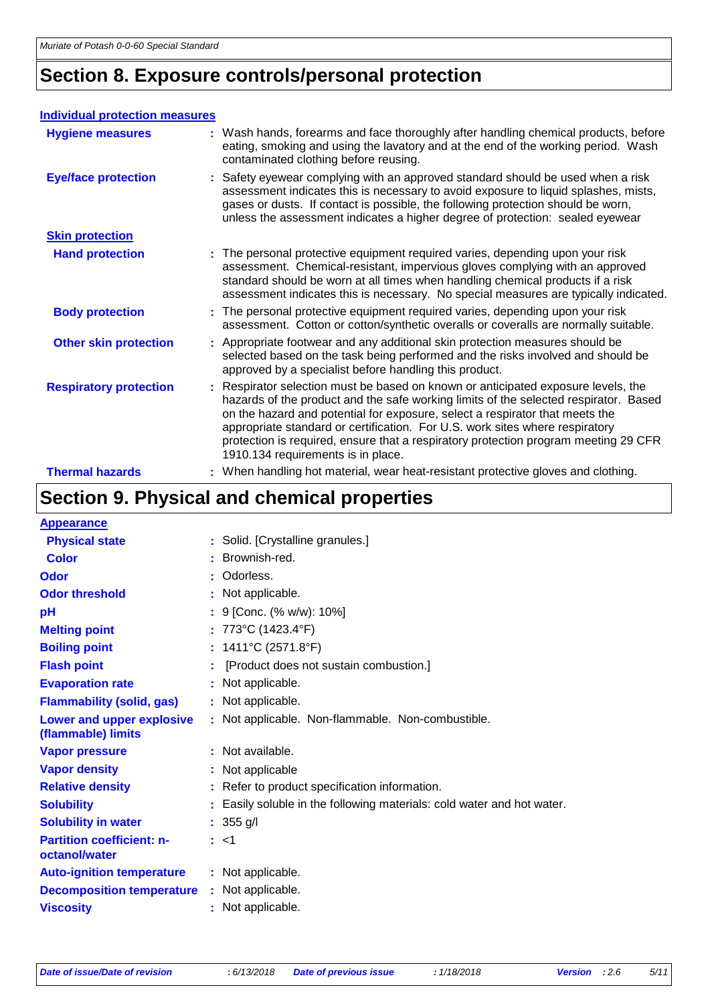# **Section 8. Exposure controls/personal protection**

#### **Individual protection measures**

| <b>Hygiene measures</b>       | : Wash hands, forearms and face thoroughly after handling chemical products, before<br>eating, smoking and using the lavatory and at the end of the working period. Wash<br>contaminated clothing before reusing.                                                                                                                                                                                                                                                      |
|-------------------------------|------------------------------------------------------------------------------------------------------------------------------------------------------------------------------------------------------------------------------------------------------------------------------------------------------------------------------------------------------------------------------------------------------------------------------------------------------------------------|
| <b>Eye/face protection</b>    | : Safety eyewear complying with an approved standard should be used when a risk<br>assessment indicates this is necessary to avoid exposure to liquid splashes, mists,<br>gases or dusts. If contact is possible, the following protection should be worn,<br>unless the assessment indicates a higher degree of protection: sealed eyewear                                                                                                                            |
| <b>Skin protection</b>        |                                                                                                                                                                                                                                                                                                                                                                                                                                                                        |
| <b>Hand protection</b>        | : The personal protective equipment required varies, depending upon your risk<br>assessment. Chemical-resistant, impervious gloves complying with an approved<br>standard should be worn at all times when handling chemical products if a risk<br>assessment indicates this is necessary. No special measures are typically indicated.                                                                                                                                |
| <b>Body protection</b>        | : The personal protective equipment required varies, depending upon your risk<br>assessment. Cotton or cotton/synthetic overalls or coveralls are normally suitable.                                                                                                                                                                                                                                                                                                   |
| <b>Other skin protection</b>  | : Appropriate footwear and any additional skin protection measures should be<br>selected based on the task being performed and the risks involved and should be<br>approved by a specialist before handling this product.                                                                                                                                                                                                                                              |
| <b>Respiratory protection</b> | : Respirator selection must be based on known or anticipated exposure levels, the<br>hazards of the product and the safe working limits of the selected respirator. Based<br>on the hazard and potential for exposure, select a respirator that meets the<br>appropriate standard or certification. For U.S. work sites where respiratory<br>protection is required, ensure that a respiratory protection program meeting 29 CFR<br>1910.134 requirements is in place. |
| <b>Thermal hazards</b>        | : When handling hot material, wear heat-resistant protective gloves and clothing.                                                                                                                                                                                                                                                                                                                                                                                      |

# **Section 9. Physical and chemical properties**

| <b>Appearance</b>                                 |    |                                                                      |
|---------------------------------------------------|----|----------------------------------------------------------------------|
| <b>Physical state</b>                             |    | : Solid. [Crystalline granules.]                                     |
| <b>Color</b>                                      | ÷. | Brownish-red.                                                        |
| Odor                                              |    | Odorless.                                                            |
| <b>Odor threshold</b>                             |    | : Not applicable.                                                    |
| рH                                                |    | : 9 [Conc. (% w/w): 10%]                                             |
| <b>Melting point</b>                              |    | : 773°C (1423.4°F)                                                   |
| <b>Boiling point</b>                              |    | : $1411^{\circ}$ C (2571.8°F)                                        |
| <b>Flash point</b>                                |    | [Product does not sustain combustion.]                               |
| <b>Evaporation rate</b>                           |    | : Not applicable.                                                    |
| <b>Flammability (solid, gas)</b>                  |    | : Not applicable.                                                    |
| Lower and upper explosive<br>(flammable) limits   |    | : Not applicable. Non-flammable. Non-combustible.                    |
| <b>Vapor pressure</b>                             |    | : Not available.                                                     |
| <b>Vapor density</b>                              |    | : Not applicable                                                     |
| <b>Relative density</b>                           |    | : Refer to product specification information.                        |
| <b>Solubility</b>                                 | ÷. | Easily soluble in the following materials: cold water and hot water. |
| <b>Solubility in water</b>                        |    | : $355$ g/l                                                          |
| <b>Partition coefficient: n-</b><br>octanol/water |    | : <1                                                                 |
| <b>Auto-ignition temperature</b>                  |    | : Not applicable.                                                    |
| <b>Decomposition temperature</b>                  |    | : Not applicable.                                                    |
| <b>Viscosity</b>                                  |    | : Not applicable.                                                    |
|                                                   |    |                                                                      |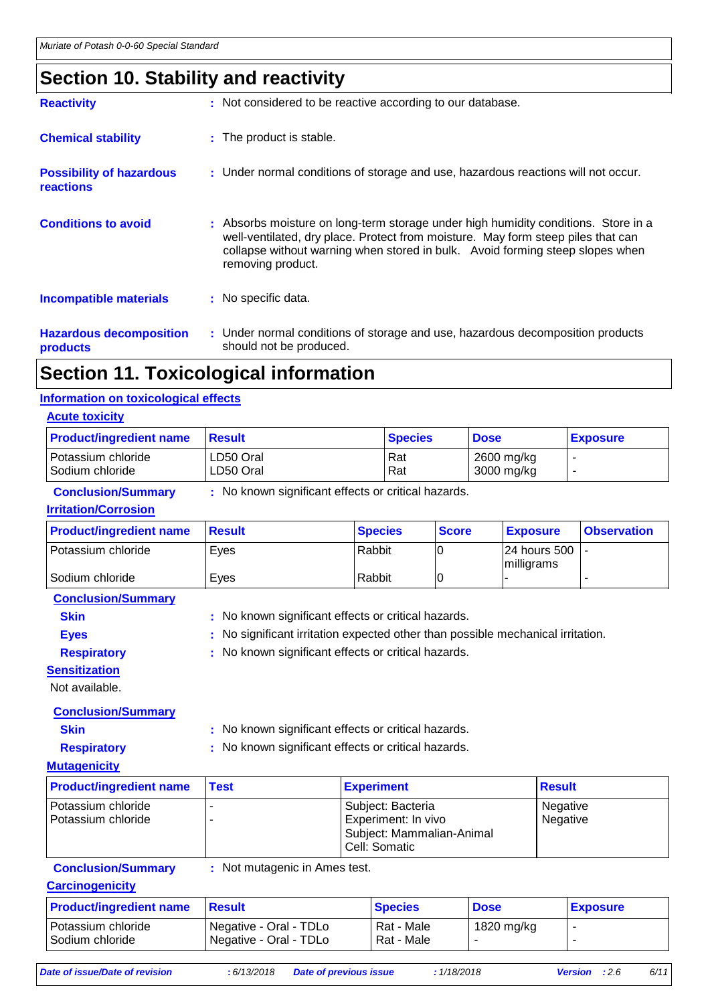# **Section 10. Stability and reactivity**

| <b>Reactivity</b>                                   | : Not considered to be reactive according to our database.                                                                                                                                                                                                                   |
|-----------------------------------------------------|------------------------------------------------------------------------------------------------------------------------------------------------------------------------------------------------------------------------------------------------------------------------------|
| <b>Chemical stability</b>                           | : The product is stable.                                                                                                                                                                                                                                                     |
| <b>Possibility of hazardous</b><br><b>reactions</b> | : Under normal conditions of storage and use, hazardous reactions will not occur.                                                                                                                                                                                            |
| <b>Conditions to avoid</b>                          | : Absorbs moisture on long-term storage under high humidity conditions. Store in a<br>well-ventilated, dry place. Protect from moisture. May form steep piles that can<br>collapse without warning when stored in bulk. Avoid forming steep slopes when<br>removing product. |
| <b>Incompatible materials</b>                       | : No specific data.                                                                                                                                                                                                                                                          |
| <b>Hazardous decomposition</b><br>products          | : Under normal conditions of storage and use, hazardous decomposition products<br>should not be produced.                                                                                                                                                                    |
|                                                     |                                                                                                                                                                                                                                                                              |

### **Section 11. Toxicological information**

#### **Information on toxicological effects**

| <b>Acute toxicity</b>                 |                        |                |                          |                 |  |
|---------------------------------------|------------------------|----------------|--------------------------|-----------------|--|
| <b>Product/ingredient name</b>        | <b>Result</b>          | <b>Species</b> | <b>Dose</b>              | <b>Exposure</b> |  |
| Potassium chloride<br>Sodium chloride | LD50 Oral<br>LD50 Oral | l Rat<br>Rat   | 2600 mg/kg<br>3000 mg/kg | -               |  |

#### **Conclusion/Summary :** No known significant effects or critical hazards.

#### **Irritation/Corrosion**

| <b>Product/ingredient name</b> | <b>∣Result</b> | <b>Species</b> | <b>Score</b> | <b>Exposure</b>                | <b>Observation</b> |
|--------------------------------|----------------|----------------|--------------|--------------------------------|--------------------|
| Potassium chloride             | Eyes           | Rabbit         |              | 124 hours 500 1-<br>milligrams |                    |
| Sodium chloride                | Eves           | Rabbit         |              |                                |                    |

**Conclusion/Summary**

- **Skin** : No known significant effects or critical hazards.
	-
- **Eyes** : No significant irritation expected other than possible mechanical irritation.

**Respiratory :** No known significant effects or critical hazards.

**Sensitization**

Not available.

### **Conclusion/Summary**

**Skin :** No known significant effects or critical hazards.

**Respiratory :** No known significant effects or critical hazards.

#### **Mutagenicity**

| <b>Product/ingredient name</b>             | <b>Test</b> | <b>Experiment</b>                                                                        | <b>Result</b>        |
|--------------------------------------------|-------------|------------------------------------------------------------------------------------------|----------------------|
| l Potassium chloride<br>Potassium chloride |             | Subject: Bacteria<br>Experiment: In vivo<br>Subject: Mammalian-Animal<br>l Cell: Somatic | Negative<br>Negative |

**Conclusion/Summary :** Not mutagenic in Ames test.

#### **Carcinogenicity**

| <b>Product/ingredient name</b>          | <b>Besult</b>                                                 | <b>Species</b>           | <b>Dose</b> | <b>Exposure</b> |
|-----------------------------------------|---------------------------------------------------------------|--------------------------|-------------|-----------------|
| Potassium chloride<br>l Sodium chloride | Negative - Oral - TDLo<br><sup>1</sup> Negative - Oral - TDLo | Rat - Male<br>Rat - Male | 1820 mg/kg  |                 |

*Date of issue/Date of revision* **:** *6/13/2018 Date of previous issue : 1/18/2018 Version : 2.6 6/11*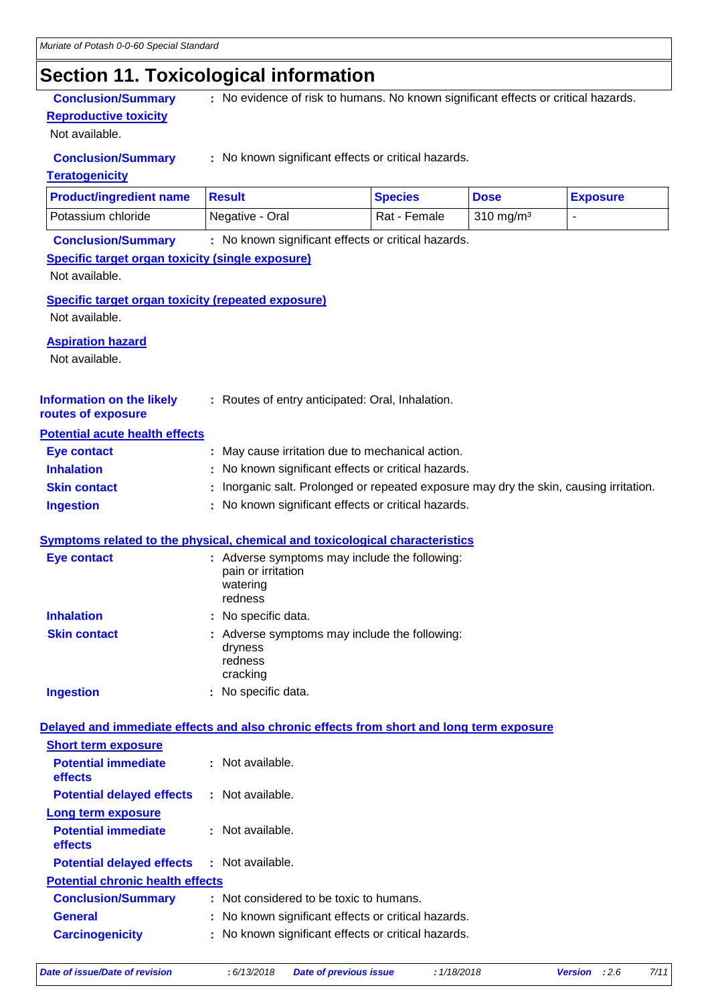# **Section 11. Toxicological information**

**Reproductive toxicity**

Not available.

**Conclusion/Summary** : No evidence of risk to humans. No known significant effects or critical hazards.

**Conclusion/Summary :** No known significant effects or critical hazards.

#### **Teratogenicity**

| <b>Product/ingredient name</b> | ⊪Result         | <b>Species</b> | <b>Dose</b>          | <b>Exposure</b> |
|--------------------------------|-----------------|----------------|----------------------|-----------------|
| <b>I Potassium chloride</b>    | Negative - Oral | Rat - Female   | $310 \text{ ma/m}^3$ |                 |

**Conclusion/Summary :** No known significant effects or critical hazards.

#### **Specific target organ toxicity (single exposure)**

Not available.

**Specific target organ toxicity (repeated exposure)**

Not available.

#### **Aspiration hazard**

Not available.

| <b>Information on the likely</b> | : Routes of entry anticipated: Oral, Inhalation. |
|----------------------------------|--------------------------------------------------|
|                                  |                                                  |

#### **routes of exposure Potential acute health effects**

| I VIVIIIIUI UVUIV HVUIIII VIIVVIV |                                                                                        |
|-----------------------------------|----------------------------------------------------------------------------------------|
| Eye contact                       | : May cause irritation due to mechanical action.                                       |
| <b>Inhalation</b>                 | : No known significant effects or critical hazards.                                    |
| <b>Skin contact</b>               | : Inorganic salt. Prolonged or repeated exposure may dry the skin, causing irritation. |
| <b>Ingestion</b>                  | : No known significant effects or critical hazards.                                    |

#### **Symptoms related to the physical, chemical and toxicological characteristics**

| <b>Eye contact</b>  | : Adverse symptoms may include the following:<br>pain or irritation<br>watering<br>redness |
|---------------------|--------------------------------------------------------------------------------------------|
| <b>Inhalation</b>   | : No specific data.                                                                        |
| <b>Skin contact</b> | : Adverse symptoms may include the following:<br>dryness<br>redness<br>cracking            |
| <b>Ingestion</b>    | No specific data.                                                                          |

#### **Delayed and immediate effects and also chronic effects from short and long term exposure**

| <b>Short term exposure</b>                        |                                                     |  |
|---------------------------------------------------|-----------------------------------------------------|--|
| <b>Potential immediate</b><br><b>effects</b>      | : Not available.                                    |  |
| <b>Potential delayed effects</b>                  | : Not available.                                    |  |
| Long term exposure                                |                                                     |  |
| <b>Potential immediate</b><br><b>effects</b>      | : Not available.                                    |  |
| <b>Potential delayed effects : Not available.</b> |                                                     |  |
| <b>Potential chronic health effects</b>           |                                                     |  |
| <b>Conclusion/Summary</b>                         | : Not considered to be toxic to humans.             |  |
| <b>General</b>                                    | : No known significant effects or critical hazards. |  |
| <b>Carcinogenicity</b>                            | : No known significant effects or critical hazards. |  |
|                                                   |                                                     |  |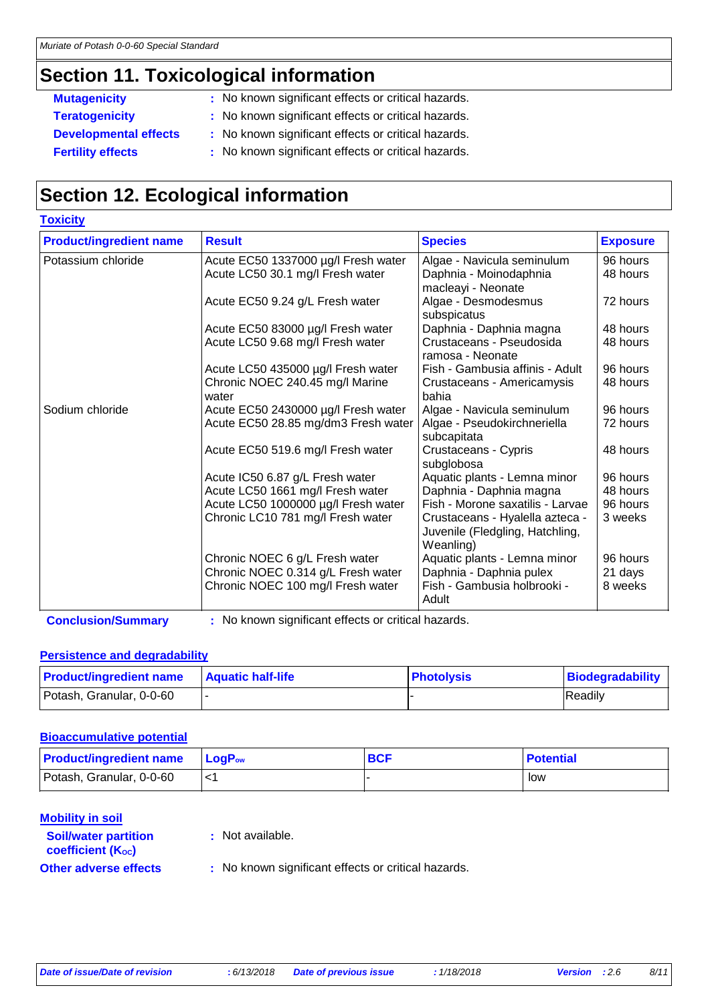# **Section 11. Toxicological information**

**Toxicity**

- **Mutagenicity** : No known significant effects or critical hazards.
- **Teratogenicity :** No known significant effects or critical hazards.
- **Developmental effects :** No known significant effects or critical hazards.
- **Fertility effects** : No known significant effects or critical hazards.

# **Section 12. Ecological information**

| <b>TOXICITY</b>                |                                          |                                                                                 |                 |
|--------------------------------|------------------------------------------|---------------------------------------------------------------------------------|-----------------|
| <b>Product/ingredient name</b> | <b>Result</b>                            | <b>Species</b>                                                                  | <b>Exposure</b> |
| Potassium chloride             | Acute EC50 1337000 µg/l Fresh water      | Algae - Navicula seminulum                                                      | 96 hours        |
|                                | Acute LC50 30.1 mg/l Fresh water         | Daphnia - Moinodaphnia<br>macleayi - Neonate                                    | 48 hours        |
|                                | Acute EC50 9.24 g/L Fresh water          | Algae - Desmodesmus<br>subspicatus                                              | 72 hours        |
|                                | Acute EC50 83000 µg/l Fresh water        | Daphnia - Daphnia magna                                                         | 48 hours        |
|                                | Acute LC50 9.68 mg/l Fresh water         | Crustaceans - Pseudosida<br>ramosa - Neonate                                    | 48 hours        |
|                                | Acute LC50 435000 µg/l Fresh water       | Fish - Gambusia affinis - Adult                                                 | 96 hours        |
|                                | Chronic NOEC 240.45 mg/l Marine<br>water | Crustaceans - Americamysis<br>bahia                                             | 48 hours        |
| Sodium chloride                | Acute EC50 2430000 µg/l Fresh water      | Algae - Navicula seminulum                                                      | 96 hours        |
|                                | Acute EC50 28.85 mg/dm3 Fresh water      | Algae - Pseudokirchneriella<br>subcapitata                                      | 72 hours        |
|                                | Acute EC50 519.6 mg/l Fresh water        | Crustaceans - Cypris<br>subglobosa                                              | 48 hours        |
|                                | Acute IC50 6.87 g/L Fresh water          | Aquatic plants - Lemna minor                                                    | 96 hours        |
|                                | Acute LC50 1661 mg/l Fresh water         | Daphnia - Daphnia magna                                                         | 48 hours        |
|                                | Acute LC50 1000000 µg/l Fresh water      | Fish - Morone saxatilis - Larvae                                                | 96 hours        |
|                                | Chronic LC10 781 mg/l Fresh water        | Crustaceans - Hyalella azteca -<br>Juvenile (Fledgling, Hatchling,<br>Weanling) | 3 weeks         |
|                                | Chronic NOEC 6 g/L Fresh water           | Aquatic plants - Lemna minor                                                    | 96 hours        |
|                                | Chronic NOEC 0.314 g/L Fresh water       | Daphnia - Daphnia pulex                                                         | 21 days         |
|                                | Chronic NOEC 100 mg/l Fresh water        | Fish - Gambusia holbrooki -<br>Adult                                            | 8 weeks         |

**Conclusion/Summary :** No known significant effects or critical hazards.

#### **Persistence and degradability**

| <b>Product/ingredient name</b> | <b>Aquatic half-life</b> | <b>Photolysis</b> | Biodegradability |
|--------------------------------|--------------------------|-------------------|------------------|
| Potash, Granular, 0-0-60       |                          |                   | Readily          |

#### **Bioaccumulative potential**

| <b>Product/ingredient name</b> | $ $ LogP <sub>ow</sub> | <b>BCF</b> | <b>Potential</b> |
|--------------------------------|------------------------|------------|------------------|
| Potash, Granular, 0-0-60       |                        |            | low              |

#### **Mobility in soil**

**:** Not available.

# **coefficient (Koc)**

**Soil/water partition** 

**Other adverse effects** : No known significant effects or critical hazards.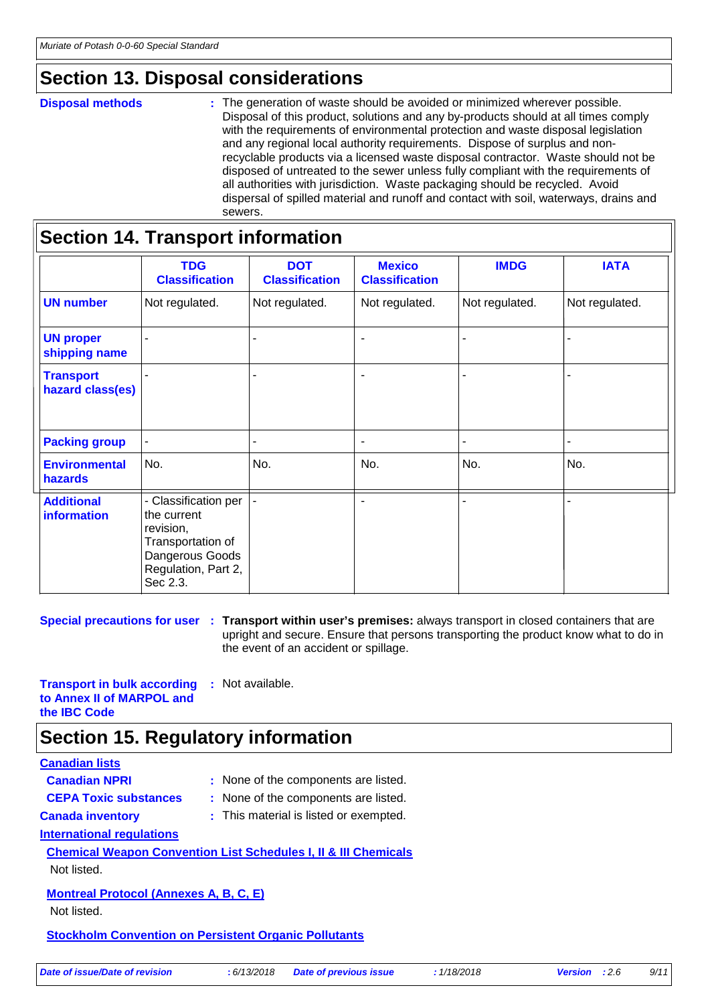# **Section 13. Disposal considerations**

#### **Disposal methods :**

The generation of waste should be avoided or minimized wherever possible. Disposal of this product, solutions and any by-products should at all times comply with the requirements of environmental protection and waste disposal legislation and any regional local authority requirements. Dispose of surplus and nonrecyclable products via a licensed waste disposal contractor. Waste should not be disposed of untreated to the sewer unless fully compliant with the requirements of all authorities with jurisdiction. Waste packaging should be recycled. Avoid dispersal of spilled material and runoff and contact with soil, waterways, drains and sewers.

|                                         | <b>Section 14. Transport information</b>                                                                                    |                                     |                                        |                |                |
|-----------------------------------------|-----------------------------------------------------------------------------------------------------------------------------|-------------------------------------|----------------------------------------|----------------|----------------|
|                                         | <b>TDG</b><br><b>Classification</b>                                                                                         | <b>DOT</b><br><b>Classification</b> | <b>Mexico</b><br><b>Classification</b> | <b>IMDG</b>    | <b>IATA</b>    |
| <b>UN number</b>                        | Not regulated.                                                                                                              | Not regulated.                      | Not regulated.                         | Not regulated. | Not regulated. |
| <b>UN proper</b><br>shipping name       |                                                                                                                             |                                     | $\overline{a}$                         |                |                |
| <b>Transport</b><br>hazard class(es)    |                                                                                                                             |                                     | $\blacksquare$                         |                |                |
| <b>Packing group</b>                    |                                                                                                                             |                                     | $\blacksquare$                         |                |                |
| <b>Environmental</b><br>hazards         | No.                                                                                                                         | No.                                 | No.                                    | No.            | No.            |
| <b>Additional</b><br><b>information</b> | - Classification per<br>the current<br>revision,<br>Transportation of<br>Dangerous Goods<br>Regulation, Part 2,<br>Sec 2.3. |                                     | $\blacksquare$                         |                |                |

**Special precautions for user** : Transport within user's premises: always transport in closed containers that are upright and secure. Ensure that persons transporting the product know what to do in the event of an accident or spillage.

**Transport in bulk according to Annex II of MARPOL and the IBC Code :** Not available.

### **Section 15. Regulatory information**

#### **Canadian lists**

| <b>Canadian NPRI</b>                                         | : None of the components are listed.                                       |
|--------------------------------------------------------------|----------------------------------------------------------------------------|
| <b>CEPA Toxic substances</b>                                 | : None of the components are listed.                                       |
| <b>Canada inventory</b>                                      | : This material is listed or exempted.                                     |
| International regulations                                    |                                                                            |
|                                                              | <b>Chemical Weapon Convention List Schedules I, II &amp; III Chemicals</b> |
| Not listed.                                                  |                                                                            |
| <b>Montreal Protocol (Annexes A, B, C, E)</b>                |                                                                            |
| Not listed.                                                  |                                                                            |
| <b>Stockholm Convention on Persistent Organic Pollutants</b> |                                                                            |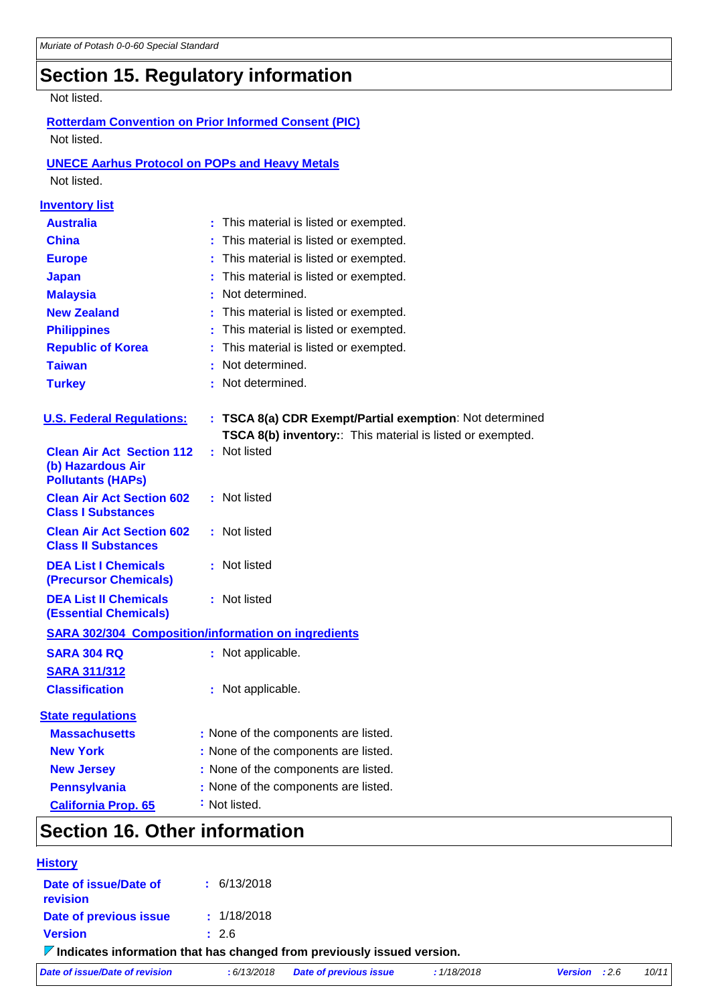# **Section 15. Regulatory information**

#### Not listed.

#### **Rotterdam Convention on Prior Informed Consent (PIC)** Not listed.

### **UNECE Aarhus Protocol on POPs and Heavy Metals**

Not listed.

| <b>Inventory list</b>                                                             |                                                            |
|-----------------------------------------------------------------------------------|------------------------------------------------------------|
| <b>Australia</b>                                                                  | : This material is listed or exempted.                     |
| <b>China</b>                                                                      | This material is listed or exempted.                       |
| <b>Europe</b>                                                                     | This material is listed or exempted.                       |
| <b>Japan</b>                                                                      | This material is listed or exempted.                       |
| <b>Malaysia</b>                                                                   | Not determined.                                            |
| <b>New Zealand</b>                                                                | This material is listed or exempted.                       |
| <b>Philippines</b>                                                                | This material is listed or exempted.                       |
| <b>Republic of Korea</b>                                                          | This material is listed or exempted.                       |
| <b>Taiwan</b>                                                                     | Not determined.                                            |
| <b>Turkey</b>                                                                     | : Not determined.                                          |
| <b>U.S. Federal Regulations:</b>                                                  | : TSCA 8(a) CDR Exempt/Partial exemption: Not determined   |
|                                                                                   | TSCA 8(b) inventory:: This material is listed or exempted. |
| <b>Clean Air Act Section 112</b><br>(b) Hazardous Air<br><b>Pollutants (HAPs)</b> | : Not listed                                               |
| <b>Clean Air Act Section 602</b><br><b>Class I Substances</b>                     | : Not listed                                               |
| <b>Clean Air Act Section 602</b><br><b>Class II Substances</b>                    | : Not listed                                               |
| <b>DEA List I Chemicals</b><br><b>(Precursor Chemicals)</b>                       | : Not listed                                               |
| <b>DEA List II Chemicals</b><br><b>(Essential Chemicals)</b>                      | : Not listed                                               |
|                                                                                   | <b>SARA 302/304 Composition/information on ingredients</b> |
| <b>SARA 304 RQ</b>                                                                | : Not applicable.                                          |
| <b>SARA 311/312</b>                                                               |                                                            |
| <b>Classification</b>                                                             | : Not applicable.                                          |
| <b>State regulations</b>                                                          |                                                            |
| <b>Massachusetts</b>                                                              | : None of the components are listed.                       |
| <b>New York</b>                                                                   | : None of the components are listed.                       |
| <b>New Jersey</b>                                                                 | : None of the components are listed.                       |
| <b>Pennsylvania</b>                                                               | : None of the components are listed.                       |
| <b>California Prop. 65</b>                                                        | : Not listed.                                              |
| Contian 16 Other information                                                      |                                                            |

### **Section 16. Other information**

| <b>History</b>                                                                         |                 |                               |             |                        |       |
|----------------------------------------------------------------------------------------|-----------------|-------------------------------|-------------|------------------------|-------|
| Date of issue/Date of<br>revision                                                      | $\pm$ 6/13/2018 |                               |             |                        |       |
| Date of previous issue                                                                 | : 1/18/2018     |                               |             |                        |       |
| <b>Version</b>                                                                         | : 2.6           |                               |             |                        |       |
| $\triangledown$ Indicates information that has changed from previously issued version. |                 |                               |             |                        |       |
| Date of issue/Date of revision                                                         | : 6/13/2018     | <b>Date of previous issue</b> | : 1/18/2018 | <b>Version</b> : $2.6$ | 10/11 |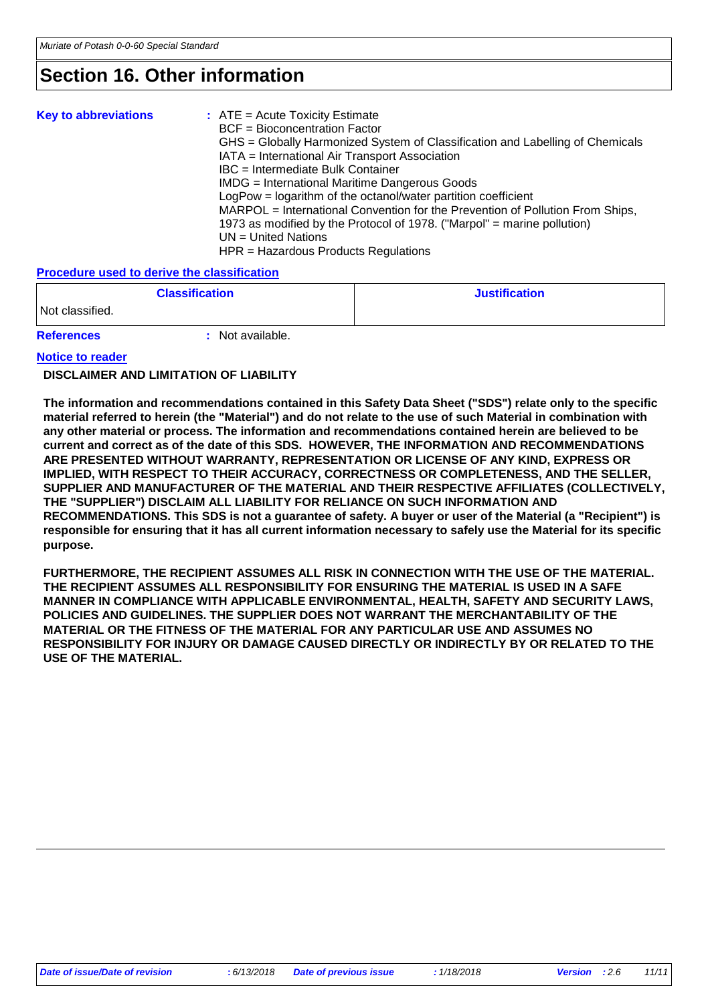# **Section 16. Other information**

| <b>Key to abbreviations</b> | $:$ ATE = Acute Toxicity Estimate<br><b>BCF</b> = Bioconcentration Factor<br>GHS = Globally Harmonized System of Classification and Labelling of Chemicals<br>IATA = International Air Transport Association<br>IBC = Intermediate Bulk Container<br>IMDG = International Maritime Dangerous Goods<br>LogPow = logarithm of the octanol/water partition coefficient<br>MARPOL = International Convention for the Prevention of Pollution From Ships,<br>1973 as modified by the Protocol of 1978. ("Marpol" = marine pollution)<br>$UN = United Nations$ |
|-----------------------------|----------------------------------------------------------------------------------------------------------------------------------------------------------------------------------------------------------------------------------------------------------------------------------------------------------------------------------------------------------------------------------------------------------------------------------------------------------------------------------------------------------------------------------------------------------|
|                             | HPR = Hazardous Products Regulations                                                                                                                                                                                                                                                                                                                                                                                                                                                                                                                     |

#### **Procedure used to derive the classification**

| <b>Classification</b> |                | <b>Justification</b> |
|-----------------------|----------------|----------------------|
| Not classified.       |                |                      |
| <b>References</b>     | Not available. |                      |

#### **Notice to reader**

#### **DISCLAIMER AND LIMITATION OF LIABILITY**

**The information and recommendations contained in this Safety Data Sheet ("SDS") relate only to the specific material referred to herein (the "Material") and do not relate to the use of such Material in combination with any other material or process. The information and recommendations contained herein are believed to be current and correct as of the date of this SDS. HOWEVER, THE INFORMATION AND RECOMMENDATIONS ARE PRESENTED WITHOUT WARRANTY, REPRESENTATION OR LICENSE OF ANY KIND, EXPRESS OR IMPLIED, WITH RESPECT TO THEIR ACCURACY, CORRECTNESS OR COMPLETENESS, AND THE SELLER, SUPPLIER AND MANUFACTURER OF THE MATERIAL AND THEIR RESPECTIVE AFFILIATES (COLLECTIVELY, THE "SUPPLIER") DISCLAIM ALL LIABILITY FOR RELIANCE ON SUCH INFORMATION AND RECOMMENDATIONS. This SDS is not a guarantee of safety. A buyer or user of the Material (a "Recipient") is responsible for ensuring that it has all current information necessary to safely use the Material for its specific purpose.**

**FURTHERMORE, THE RECIPIENT ASSUMES ALL RISK IN CONNECTION WITH THE USE OF THE MATERIAL. THE RECIPIENT ASSUMES ALL RESPONSIBILITY FOR ENSURING THE MATERIAL IS USED IN A SAFE MANNER IN COMPLIANCE WITH APPLICABLE ENVIRONMENTAL, HEALTH, SAFETY AND SECURITY LAWS, POLICIES AND GUIDELINES. THE SUPPLIER DOES NOT WARRANT THE MERCHANTABILITY OF THE MATERIAL OR THE FITNESS OF THE MATERIAL FOR ANY PARTICULAR USE AND ASSUMES NO RESPONSIBILITY FOR INJURY OR DAMAGE CAUSED DIRECTLY OR INDIRECTLY BY OR RELATED TO THE USE OF THE MATERIAL.**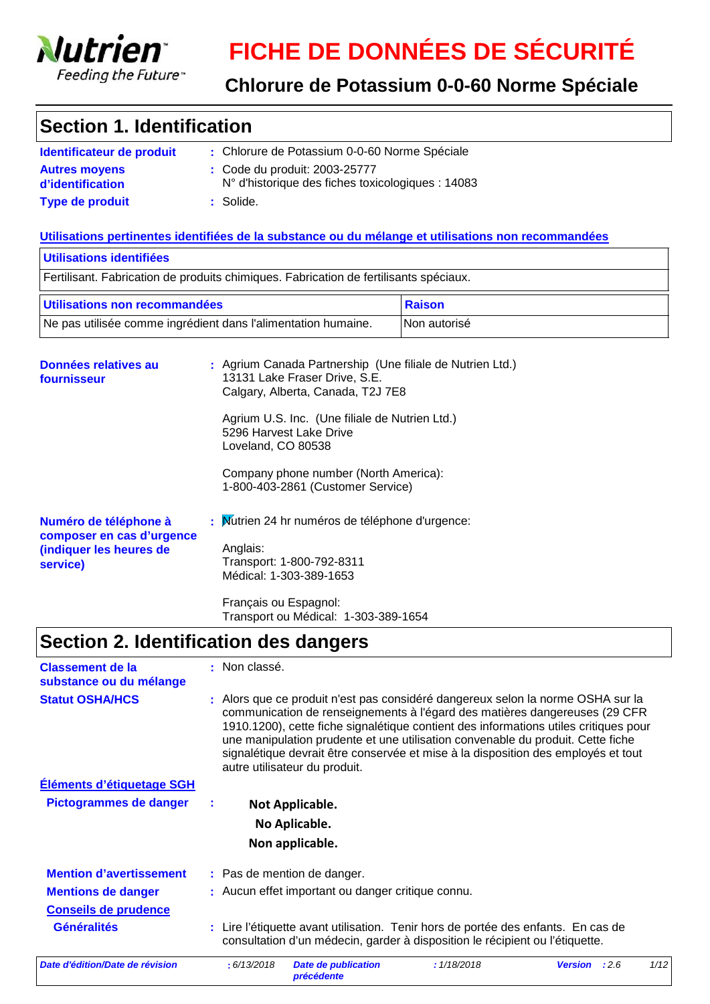

### **Chlorure de Potassium 0-0-60 Norme Spéciale**

# **Section 1. Identification**

| Identificateur de produit                | : Chlorure de Potassium 0-0-60 Norme Spéciale                                               |
|------------------------------------------|---------------------------------------------------------------------------------------------|
| <b>Autres movens</b><br>d'identification | : Code du produit: 2003-25777<br>$N^{\circ}$ d'historique des fiches toxicologiques : 14083 |
| <b>Type de produit</b>                   | : Solide.                                                                                   |

#### **Utilisations pertinentes identifiées de la substance ou du mélange et utilisations non recommandées**

| Utilisations identifiées                            |                                                                                                                                                                                                                                                                                                                  |               |  |
|-----------------------------------------------------|------------------------------------------------------------------------------------------------------------------------------------------------------------------------------------------------------------------------------------------------------------------------------------------------------------------|---------------|--|
|                                                     | Fertilisant. Fabrication de produits chimiques. Fabrication de fertilisants spéciaux.                                                                                                                                                                                                                            |               |  |
| Utilisations non recommandées                       |                                                                                                                                                                                                                                                                                                                  | <b>Raison</b> |  |
|                                                     | Ne pas utilisée comme ingrédient dans l'alimentation humaine.                                                                                                                                                                                                                                                    | Non autorisé  |  |
| Données relatives au<br>fournisseur                 | : Agrium Canada Partnership (Une filiale de Nutrien Ltd.)<br>13131 Lake Fraser Drive, S.E.<br>Calgary, Alberta, Canada, T2J 7E8<br>Agrium U.S. Inc. (Une filiale de Nutrien Ltd.)<br>5296 Harvest Lake Drive<br>Loveland, CO 80538<br>Company phone number (North America):<br>1-800-403-2861 (Customer Service) |               |  |
| Numéro de téléphone à<br>aamaanan an aan al'unnanaa | : Mutrien 24 hr numéros de téléphone d'urgence:                                                                                                                                                                                                                                                                  |               |  |

| composer en cas d'urgence<br>(indiquer les heures de<br>service) | Anglais:<br>Transport: 1-800-792-8311<br>Médical: 1-303-389-1653 |  |
|------------------------------------------------------------------|------------------------------------------------------------------|--|
|                                                                  | Français ou Espagnol:                                            |  |

# **Section 2. Identification des dangers**

| <b>Classement de la</b><br>substance ou du mélange | : Non classé.                                                                                                                                                                                                                                                                                                                                                                                                                                                  |
|----------------------------------------------------|----------------------------------------------------------------------------------------------------------------------------------------------------------------------------------------------------------------------------------------------------------------------------------------------------------------------------------------------------------------------------------------------------------------------------------------------------------------|
| <b>Statut OSHA/HCS</b>                             | : Alors que ce produit n'est pas considéré dangereux selon la norme OSHA sur la<br>communication de renseignements à l'égard des matières dangereuses (29 CFR<br>1910.1200), cette fiche signalétique contient des informations utiles critiques pour<br>une manipulation prudente et une utilisation convenable du produit. Cette fiche<br>signalétique devrait être conservée et mise à la disposition des employés et tout<br>autre utilisateur du produit. |
| Éléments d'étiquetage SGH                          |                                                                                                                                                                                                                                                                                                                                                                                                                                                                |
| <b>Pictogrammes de danger</b>                      | Not Applicable.                                                                                                                                                                                                                                                                                                                                                                                                                                                |
|                                                    | No Aplicable.                                                                                                                                                                                                                                                                                                                                                                                                                                                  |
|                                                    | Non applicable.                                                                                                                                                                                                                                                                                                                                                                                                                                                |
| <b>Mention d'avertissement</b>                     | : Pas de mention de danger.                                                                                                                                                                                                                                                                                                                                                                                                                                    |
| <b>Mentions de danger</b>                          | : Aucun effet important ou danger critique connu.                                                                                                                                                                                                                                                                                                                                                                                                              |
| <b>Conseils de prudence</b>                        |                                                                                                                                                                                                                                                                                                                                                                                                                                                                |
| <b>Généralités</b>                                 | : Lire l'étiquette avant utilisation. Tenir hors de portée des enfants. En cas de<br>consultation d'un médecin, garder à disposition le récipient ou l'étiquette.                                                                                                                                                                                                                                                                                              |
| Date d'édition/Date de révision                    | 1/12<br><b>Date de publication</b><br>: 1/18/2018<br>: 6/13/2018<br>:2.6<br><b>Version</b><br><b>précédente</b>                                                                                                                                                                                                                                                                                                                                                |

Transport ou Médical: 1-303-389-1654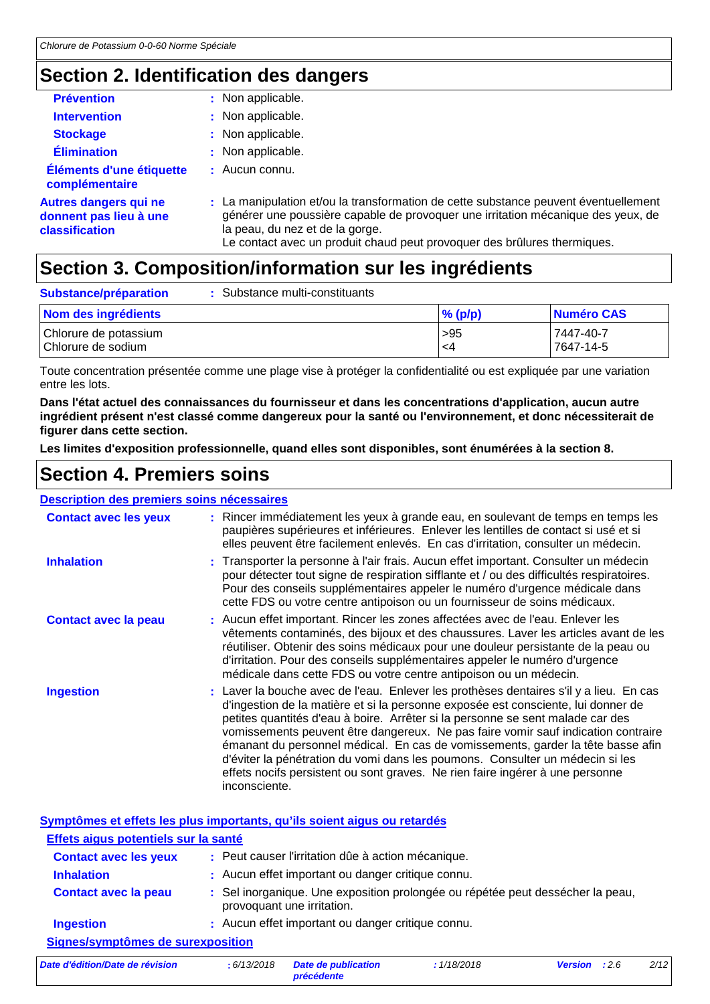### **Section 2. Identification des dangers**

| <b>Prévention</b>                                                        | : Non applicable.                                                                                                                                                                                                                                                                      |
|--------------------------------------------------------------------------|----------------------------------------------------------------------------------------------------------------------------------------------------------------------------------------------------------------------------------------------------------------------------------------|
| <b>Intervention</b>                                                      | : Non applicable.                                                                                                                                                                                                                                                                      |
| <b>Stockage</b>                                                          | : Non applicable.                                                                                                                                                                                                                                                                      |
| <b>Élimination</b>                                                       | : Non applicable.                                                                                                                                                                                                                                                                      |
| Éléments d'une étiquette<br>complémentaire                               | : Aucun connu.                                                                                                                                                                                                                                                                         |
| <b>Autres dangers qui ne</b><br>donnent pas lieu à une<br>classification | : La manipulation et/ou la transformation de cette substance peuvent éventuellement<br>générer une poussière capable de provoquer une irritation mécanique des yeux, de<br>la peau, du nez et de la gorge.<br>Le contact avec un produit chaud peut provoquer des brûlures thermiques. |

# **Section 3. Composition/information sur les ingrédients**

| Substance/préparation                       | Substance multi-constituants |            |                        |
|---------------------------------------------|------------------------------|------------|------------------------|
| Nom des ingrédients                         |                              | $\%$ (p/p) | Numéro CAS             |
| Chlorure de potassium<br>Chlorure de sodium |                              | >95<br>-4  | 7447-40-7<br>7647-14-5 |

Toute concentration présentée comme une plage vise à protéger la confidentialité ou est expliquée par une variation entre les lots.

**Dans l'état actuel des connaissances du fournisseur et dans les concentrations d'application, aucun autre ingrédient présent n'est classé comme dangereux pour la santé ou l'environnement, et donc nécessiterait de figurer dans cette section.**

**Les limites d'exposition professionnelle, quand elles sont disponibles, sont énumérées à la section 8.**

# **Section 4. Premiers soins**

#### **Description des premiers soins nécessaires**

| <b>Contact avec les yeux</b> | : Rincer immédiatement les yeux à grande eau, en soulevant de temps en temps les<br>paupières supérieures et inférieures. Enlever les lentilles de contact si usé et si<br>elles peuvent être facilement enlevés. En cas d'irritation, consulter un médecin.                                                                                                                                                                                                                                                                                                                                                             |
|------------------------------|--------------------------------------------------------------------------------------------------------------------------------------------------------------------------------------------------------------------------------------------------------------------------------------------------------------------------------------------------------------------------------------------------------------------------------------------------------------------------------------------------------------------------------------------------------------------------------------------------------------------------|
| <b>Inhalation</b>            | : Transporter la personne à l'air frais. Aucun effet important. Consulter un médecin<br>pour détecter tout signe de respiration sifflante et / ou des difficultés respiratoires.<br>Pour des conseils supplémentaires appeler le numéro d'urgence médicale dans<br>cette FDS ou votre centre antipoison ou un fournisseur de soins médicaux.                                                                                                                                                                                                                                                                             |
| <b>Contact avec la peau</b>  | : Aucun effet important. Rincer les zones affectées avec de l'eau. Enlever les<br>vêtements contaminés, des bijoux et des chaussures. Laver les articles avant de les<br>réutiliser. Obtenir des soins médicaux pour une douleur persistante de la peau ou<br>d'irritation. Pour des conseils supplémentaires appeler le numéro d'urgence<br>médicale dans cette FDS ou votre centre antipoison ou un médecin.                                                                                                                                                                                                           |
| <b>Ingestion</b>             | : Laver la bouche avec de l'eau. Enlever les prothèses dentaires s'il y a lieu. En cas<br>d'ingestion de la matière et si la personne exposée est consciente, lui donner de<br>petites quantités d'eau à boire. Arrêter si la personne se sent malade car des<br>vomissements peuvent être dangereux. Ne pas faire vomir sauf indication contraire<br>émanant du personnel médical. En cas de vomissements, garder la tête basse afin<br>d'éviter la pénétration du vomi dans les poumons. Consulter un médecin si les<br>effets nocifs persistent ou sont graves. Ne rien faire ingérer à une personne<br>inconsciente. |

**Symptômes et effets les plus importants, qu'ils soient aigus ou retardés**

| Effets aigus potentiels sur la santé |                                                                                                              |
|--------------------------------------|--------------------------------------------------------------------------------------------------------------|
| <b>Contact avec les yeux</b>         | : Peut causer l'irritation dûe à action mécanique.                                                           |
| <b>Inhalation</b>                    | : Aucun effet important ou danger critique connu.                                                            |
| <b>Contact avec la peau</b>          | : Sel inorganique. Une exposition prolongée ou répétée peut dessécher la peau,<br>provoquant une irritation. |
| <b>Ingestion</b>                     | : Aucun effet important ou danger critique connu.                                                            |
| Signes/symptômes de surexposition    |                                                                                                              |
|                                      | 11200222<br>$\cdots$ $\cdots$                                                                                |

*Date d'édition/Date de révision* **:** *6/13/2018 Date de publication précédente : 1/18/2018 Version : 2.6 2/12*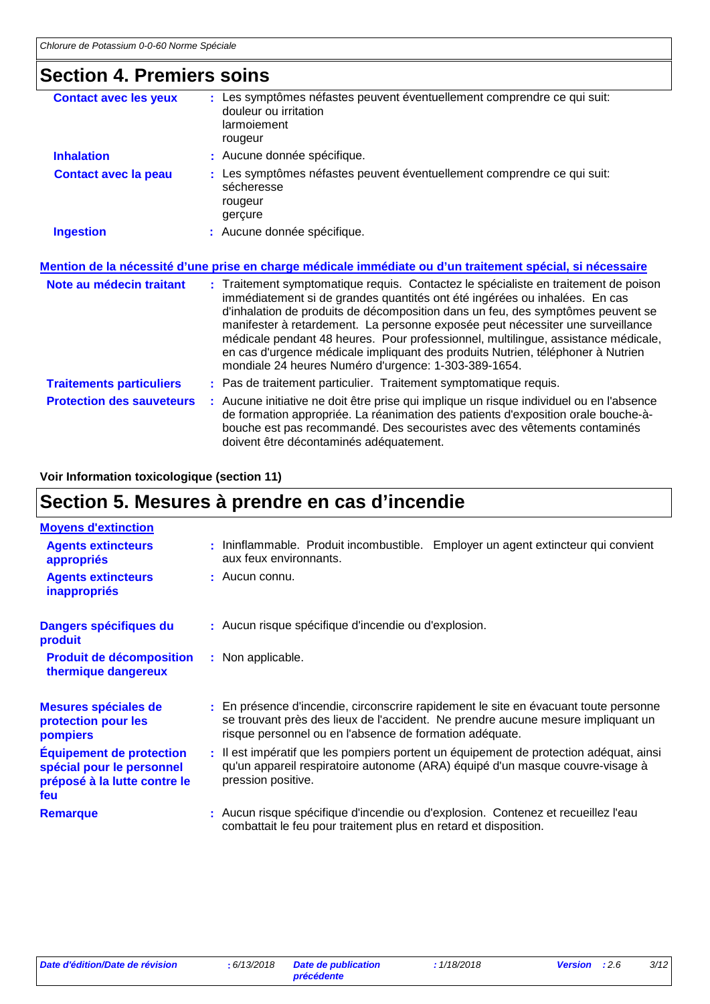# **Section 4. Premiers soins**

| <b>Contact avec les yeux</b>     | Les symptômes néfastes peuvent éventuellement comprendre ce qui suit:<br>douleur ou irritation<br>larmoiement<br>rougeur                                                                                                                                                                                                                                                                                                                                                                                                                                               |
|----------------------------------|------------------------------------------------------------------------------------------------------------------------------------------------------------------------------------------------------------------------------------------------------------------------------------------------------------------------------------------------------------------------------------------------------------------------------------------------------------------------------------------------------------------------------------------------------------------------|
| <b>Inhalation</b>                | : Aucune donnée spécifique.                                                                                                                                                                                                                                                                                                                                                                                                                                                                                                                                            |
| <b>Contact avec la peau</b>      | : Les symptômes néfastes peuvent éventuellement comprendre ce qui suit:<br>sécheresse<br>rougeur<br>gerçure                                                                                                                                                                                                                                                                                                                                                                                                                                                            |
| <b>Ingestion</b>                 | : Aucune donnée spécifique.                                                                                                                                                                                                                                                                                                                                                                                                                                                                                                                                            |
|                                  | <u>Mention de la nécessité d'une prise en charge médicale immédiate ou d'un traitement spécial, si nécessaire</u>                                                                                                                                                                                                                                                                                                                                                                                                                                                      |
| Note au médecin traitant         | : Traitement symptomatique requis. Contactez le spécialiste en traitement de poison<br>immédiatement si de grandes quantités ont été ingérées ou inhalées. En cas<br>d'inhalation de produits de décomposition dans un feu, des symptômes peuvent se<br>manifester à retardement. La personne exposée peut nécessiter une surveillance<br>médicale pendant 48 heures. Pour professionnel, multilingue, assistance médicale,<br>en cas d'urgence médicale impliquant des produits Nutrien, téléphoner à Nutrien<br>mondiale 24 heures Numéro d'urgence: 1-303-389-1654. |
| <b>Traitements particuliers</b>  | : Pas de traitement particulier. Traitement symptomatique requis.                                                                                                                                                                                                                                                                                                                                                                                                                                                                                                      |
| <b>Protection des sauveteurs</b> | : Aucune initiative ne doit être prise qui implique un risque individuel ou en l'absence<br>de formation appropriée. La réanimation des patients d'exposition orale bouche-à-<br>bouche est pas recommandé. Des secouristes avec des vêtements contaminés                                                                                                                                                                                                                                                                                                              |

doivent être décontaminés adéquatement.

#### **Voir Information toxicologique (section 11)**

# **Section 5. Mesures à prendre en cas d'incendie**

| <b>Moyens d'extinction</b>                                                                          |                                                                                                                                                                                                                                     |
|-----------------------------------------------------------------------------------------------------|-------------------------------------------------------------------------------------------------------------------------------------------------------------------------------------------------------------------------------------|
| <b>Agents extincteurs</b><br>appropriés                                                             | : Ininflammable. Produit incombustible. Employer un agent extincteur qui convient<br>aux feux environnants.                                                                                                                         |
| <b>Agents extincteurs</b><br>inappropriés                                                           | : Aucun connu.                                                                                                                                                                                                                      |
| Dangers spécifiques du<br>produit                                                                   | : Aucun risque spécifique d'incendie ou d'explosion.                                                                                                                                                                                |
| <b>Produit de décomposition</b><br>thermique dangereux                                              | : Non applicable.                                                                                                                                                                                                                   |
| Mesures spéciales de<br>protection pour les<br>pompiers                                             | : En présence d'incendie, circonscrire rapidement le site en évacuant toute personne<br>se trouvant près des lieux de l'accident. Ne prendre aucune mesure impliquant un<br>risque personnel ou en l'absence de formation adéquate. |
| <b>Équipement de protection</b><br>spécial pour le personnel<br>préposé à la lutte contre le<br>feu | : Il est impératif que les pompiers portent un équipement de protection adéquat, ainsi<br>qu'un appareil respiratoire autonome (ARA) équipé d'un masque couvre-visage à<br>pression positive.                                       |
| <b>Remarque</b>                                                                                     | : Aucun risque spécifique d'incendie ou d'explosion. Contenez et recueillez l'eau<br>combattait le feu pour traitement plus en retard et disposition.                                                                               |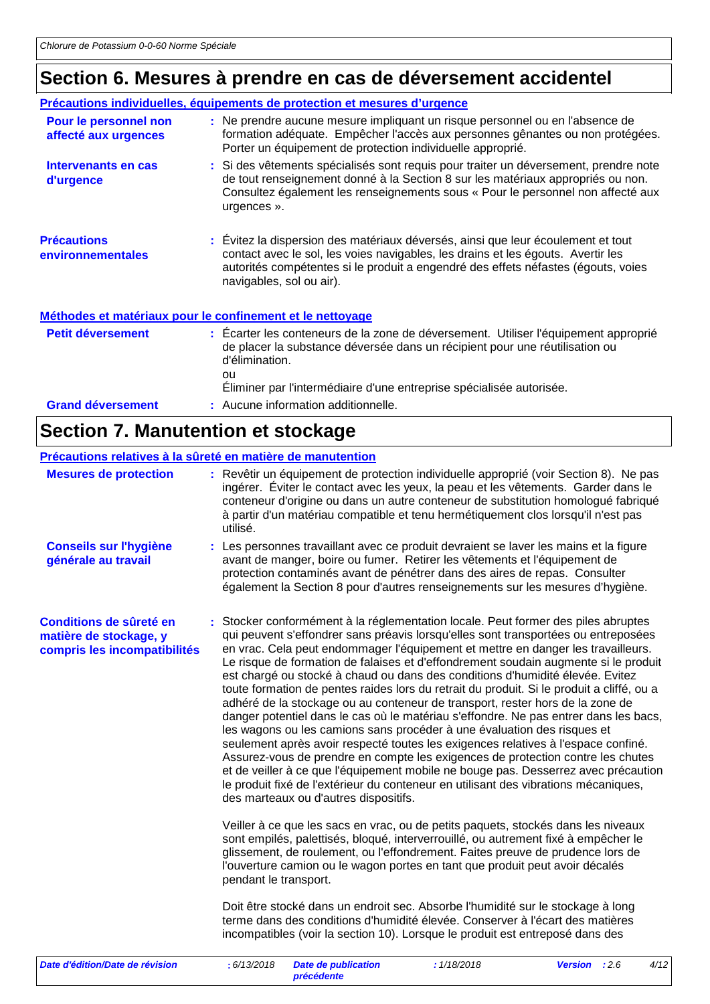# **Section 6. Mesures à prendre en cas de déversement accidentel**

|                                               | Précautions individuelles, équipements de protection et mesures d'urgence                                                                                                                                                                                                             |
|-----------------------------------------------|---------------------------------------------------------------------------------------------------------------------------------------------------------------------------------------------------------------------------------------------------------------------------------------|
| Pour le personnel non<br>affecté aux urgences | : Ne prendre aucune mesure impliquant un risque personnel ou en l'absence de<br>formation adéquate. Empêcher l'accès aux personnes gênantes ou non protégées.<br>Porter un équipement de protection individuelle approprié.                                                           |
| Intervenants en cas<br>d'urgence              | : Si des vêtements spécialisés sont requis pour traiter un déversement, prendre note<br>de tout renseignement donné à la Section 8 sur les matériaux appropriés ou non.<br>Consultez également les renseignements sous « Pour le personnel non affecté aux<br>urgences ».             |
| <b>Précautions</b><br>environnementales       | : Évitez la dispersion des matériaux déversés, ainsi que leur écoulement et tout<br>contact avec le sol, les voies navigables, les drains et les égouts. Avertir les<br>autorités compétentes si le produit a engendré des effets néfastes (égouts, voies<br>navigables, sol ou air). |
|                                               | Méthodes et matériaux pour le confinement et le nettoyage                                                                                                                                                                                                                             |
| <b>Petit déversement</b>                      | : Ecarter les conteneurs de la zone de déversement. Utiliser l'équipement approprié<br>de placer la substance déversée dans un récipient pour une réutilisation ou<br>d'élimination.<br>ou<br>Eliminer par l'intermédiaire d'une entreprise spécialisée autorisée.                    |
| <b>Grand déversement</b>                      | : Aucune information additionnelle.                                                                                                                                                                                                                                                   |

# **Section 7. Manutention et stockage**

|                                                                                   |                                                                                                                                                                                                                                                                                                                                                                   | Précautions relatives à la sûreté en matière de manutention                                                                                                                                                                                                                                                                                                                                                                                                                                                                                                                                                                                                                                                                                                                                                                                                                                                                                                                                                                                                                                                                                                                                                                                                                                                                                                                                                                                                                                                                                                                                                                                                                                                                                                                                                   |      |  |  |
|-----------------------------------------------------------------------------------|-------------------------------------------------------------------------------------------------------------------------------------------------------------------------------------------------------------------------------------------------------------------------------------------------------------------------------------------------------------------|---------------------------------------------------------------------------------------------------------------------------------------------------------------------------------------------------------------------------------------------------------------------------------------------------------------------------------------------------------------------------------------------------------------------------------------------------------------------------------------------------------------------------------------------------------------------------------------------------------------------------------------------------------------------------------------------------------------------------------------------------------------------------------------------------------------------------------------------------------------------------------------------------------------------------------------------------------------------------------------------------------------------------------------------------------------------------------------------------------------------------------------------------------------------------------------------------------------------------------------------------------------------------------------------------------------------------------------------------------------------------------------------------------------------------------------------------------------------------------------------------------------------------------------------------------------------------------------------------------------------------------------------------------------------------------------------------------------------------------------------------------------------------------------------------------------|------|--|--|
| <b>Mesures de protection</b>                                                      | : Revêtir un équipement de protection individuelle approprié (voir Section 8). Ne pas<br>ingérer. Éviter le contact avec les yeux, la peau et les vêtements. Garder dans le<br>conteneur d'origine ou dans un autre conteneur de substitution homologué fabriqué<br>à partir d'un matériau compatible et tenu hermétiquement clos lorsqu'il n'est pas<br>utilisé. |                                                                                                                                                                                                                                                                                                                                                                                                                                                                                                                                                                                                                                                                                                                                                                                                                                                                                                                                                                                                                                                                                                                                                                                                                                                                                                                                                                                                                                                                                                                                                                                                                                                                                                                                                                                                               |      |  |  |
| <b>Conseils sur l'hygiène</b><br>générale au travail                              |                                                                                                                                                                                                                                                                                                                                                                   | : Les personnes travaillant avec ce produit devraient se laver les mains et la figure<br>avant de manger, boire ou fumer. Retirer les vêtements et l'équipement de<br>protection contaminés avant de pénétrer dans des aires de repas. Consulter<br>également la Section 8 pour d'autres renseignements sur les mesures d'hygiène.                                                                                                                                                                                                                                                                                                                                                                                                                                                                                                                                                                                                                                                                                                                                                                                                                                                                                                                                                                                                                                                                                                                                                                                                                                                                                                                                                                                                                                                                            |      |  |  |
| Conditions de sûreté en<br>matière de stockage, y<br>compris les incompatibilités |                                                                                                                                                                                                                                                                                                                                                                   | : Stocker conformément à la réglementation locale. Peut former des piles abruptes<br>qui peuvent s'effondrer sans préavis lorsqu'elles sont transportées ou entreposées<br>en vrac. Cela peut endommager l'équipement et mettre en danger les travailleurs.<br>Le risque de formation de falaises et d'effondrement soudain augmente si le produit<br>est chargé ou stocké à chaud ou dans des conditions d'humidité élevée. Evitez<br>toute formation de pentes raides lors du retrait du produit. Si le produit a cliffé, ou a<br>adhéré de la stockage ou au conteneur de transport, rester hors de la zone de<br>danger potentiel dans le cas où le matériau s'effondre. Ne pas entrer dans les bacs,<br>les wagons ou les camions sans procéder à une évaluation des risques et<br>seulement après avoir respecté toutes les exigences relatives à l'espace confiné.<br>Assurez-vous de prendre en compte les exigences de protection contre les chutes<br>et de veiller à ce que l'équipement mobile ne bouge pas. Desserrez avec précaution<br>le produit fixé de l'extérieur du conteneur en utilisant des vibrations mécaniques,<br>des marteaux ou d'autres dispositifs.<br>Veiller à ce que les sacs en vrac, ou de petits paquets, stockés dans les niveaux<br>sont empilés, palettisés, bloqué, interverrouillé, ou autrement fixé à empêcher le<br>glissement, de roulement, ou l'effondrement. Faites preuve de prudence lors de<br>l'ouverture camion ou le wagon portes en tant que produit peut avoir décalés<br>pendant le transport.<br>Doit être stocké dans un endroit sec. Absorbe l'humidité sur le stockage à long<br>terme dans des conditions d'humidité élevée. Conserver à l'écart des matières<br>incompatibles (voir la section 10). Lorsque le produit est entreposé dans des |      |  |  |
| Date d'édition/Date de révision                                                   |                                                                                                                                                                                                                                                                                                                                                                   | : 6/13/2018<br><b>Date de publication</b><br>: 1/18/2018<br>Version : 2.6<br>précédente                                                                                                                                                                                                                                                                                                                                                                                                                                                                                                                                                                                                                                                                                                                                                                                                                                                                                                                                                                                                                                                                                                                                                                                                                                                                                                                                                                                                                                                                                                                                                                                                                                                                                                                       | 4/12 |  |  |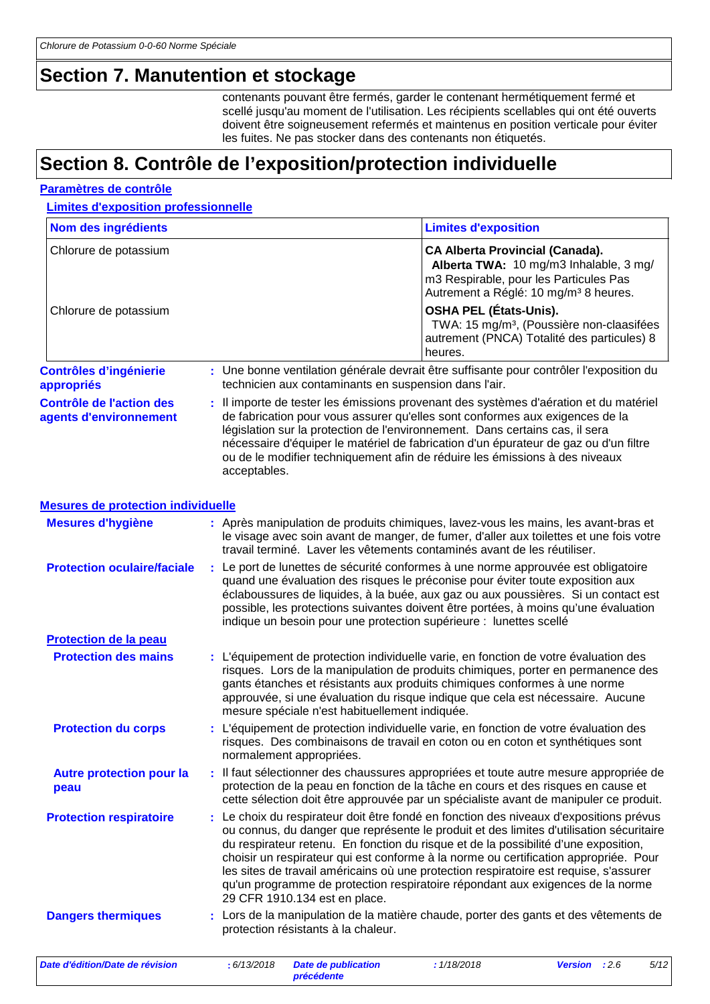### **Section 7. Manutention et stockage**

contenants pouvant être fermés, garder le contenant hermétiquement fermé et scellé jusqu'au moment de l'utilisation. Les récipients scellables qui ont été ouverts doivent être soigneusement refermés et maintenus en position verticale pour éviter les fuites. Ne pas stocker dans des contenants non étiquetés.

## **Section 8. Contrôle de l'exposition/protection individuelle**

#### **Paramètres de contrôle**

**Limites d'exposition professionnelle**

| Nom des ingrédients                                       |   |              |                                                       | <b>Limites d'exposition</b>                                                                                                                                                                                                                                                                                                                                                                                                                                                                                                               |                |      |      |
|-----------------------------------------------------------|---|--------------|-------------------------------------------------------|-------------------------------------------------------------------------------------------------------------------------------------------------------------------------------------------------------------------------------------------------------------------------------------------------------------------------------------------------------------------------------------------------------------------------------------------------------------------------------------------------------------------------------------------|----------------|------|------|
| Chlorure de potassium                                     |   |              |                                                       | <b>CA Alberta Provincial (Canada).</b><br>Alberta TWA: 10 mg/m3 Inhalable, 3 mg/<br>m3 Respirable, pour les Particules Pas<br>Autrement a Réglé: 10 mg/m <sup>3</sup> 8 heures.                                                                                                                                                                                                                                                                                                                                                           |                |      |      |
| Chlorure de potassium                                     |   |              |                                                       | <b>OSHA PEL (États-Unis).</b><br>TWA: 15 mg/m <sup>3</sup> , (Poussière non-claasifées<br>autrement (PNCA) Totalité des particules) 8<br>heures.                                                                                                                                                                                                                                                                                                                                                                                          |                |      |      |
| <b>Contrôles d'ingénierie</b><br>appropriés               |   |              | technicien aux contaminants en suspension dans l'air. | : Une bonne ventilation générale devrait être suffisante pour contrôler l'exposition du                                                                                                                                                                                                                                                                                                                                                                                                                                                   |                |      |      |
| <b>Contrôle de l'action des</b><br>agents d'environnement |   | acceptables. |                                                       | : Il importe de tester les émissions provenant des systèmes d'aération et du matériel<br>de fabrication pour vous assurer qu'elles sont conformes aux exigences de la<br>législation sur la protection de l'environnement. Dans certains cas, il sera<br>nécessaire d'équiper le matériel de fabrication d'un épurateur de gaz ou d'un filtre<br>ou de le modifier techniquement afin de réduire les émissions à des niveaux                                                                                                              |                |      |      |
| <b>Mesures de protection individuelle</b>                 |   |              |                                                       |                                                                                                                                                                                                                                                                                                                                                                                                                                                                                                                                           |                |      |      |
| <b>Mesures d'hygiène</b>                                  |   |              |                                                       | : Après manipulation de produits chimiques, lavez-vous les mains, les avant-bras et<br>le visage avec soin avant de manger, de fumer, d'aller aux toilettes et une fois votre<br>travail terminé. Laver les vêtements contaminés avant de les réutiliser.                                                                                                                                                                                                                                                                                 |                |      |      |
| <b>Protection oculaire/faciale</b>                        |   |              |                                                       | : Le port de lunettes de sécurité conformes à une norme approuvée est obligatoire<br>quand une évaluation des risques le préconise pour éviter toute exposition aux<br>éclaboussures de liquides, à la buée, aux gaz ou aux poussières. Si un contact est<br>possible, les protections suivantes doivent être portées, à moins qu'une évaluation<br>indique un besoin pour une protection supérieure : lunettes scellé                                                                                                                    |                |      |      |
| Protection de la peau                                     |   |              |                                                       |                                                                                                                                                                                                                                                                                                                                                                                                                                                                                                                                           |                |      |      |
| <b>Protection des mains</b>                               |   |              | mesure spéciale n'est habituellement indiquée.        | : L'équipement de protection individuelle varie, en fonction de votre évaluation des<br>risques. Lors de la manipulation de produits chimiques, porter en permanence des<br>gants étanches et résistants aux produits chimiques conformes à une norme<br>approuvée, si une évaluation du risque indique que cela est nécessaire. Aucune                                                                                                                                                                                                   |                |      |      |
| <b>Protection du corps</b>                                |   |              | normalement appropriées.                              | : L'équipement de protection individuelle varie, en fonction de votre évaluation des<br>risques. Des combinaisons de travail en coton ou en coton et synthétiques sont                                                                                                                                                                                                                                                                                                                                                                    |                |      |      |
| <b>Autre protection pour la</b><br>peau                   |   |              |                                                       | Il faut sélectionner des chaussures appropriées et toute autre mesure appropriée de<br>protection de la peau en fonction de la tâche en cours et des risques en cause et<br>cette sélection doit être approuvée par un spécialiste avant de manipuler ce produit.                                                                                                                                                                                                                                                                         |                |      |      |
| <b>Protection respiratoire</b>                            | ÷ |              | 29 CFR 1910.134 est en place.                         | Le choix du respirateur doit être fondé en fonction des niveaux d'expositions prévus<br>ou connus, du danger que représente le produit et des limites d'utilisation sécuritaire<br>du respirateur retenu. En fonction du risque et de la possibilité d'une exposition,<br>choisir un respirateur qui est conforme à la norme ou certification appropriée. Pour<br>les sites de travail américains où une protection respiratoire est requise, s'assurer<br>qu'un programme de protection respiratoire répondant aux exigences de la norme |                |      |      |
| <b>Dangers thermiques</b>                                 |   |              | protection résistants à la chaleur.                   | : Lors de la manipulation de la matière chaude, porter des gants et des vêtements de                                                                                                                                                                                                                                                                                                                                                                                                                                                      |                |      |      |
| Date d'édition/Date de révision                           |   | : 6/13/2018  | <b>Date de publication</b>                            | : 1/18/2018                                                                                                                                                                                                                                                                                                                                                                                                                                                                                                                               | <b>Version</b> | :2.6 | 5/12 |

*précédente*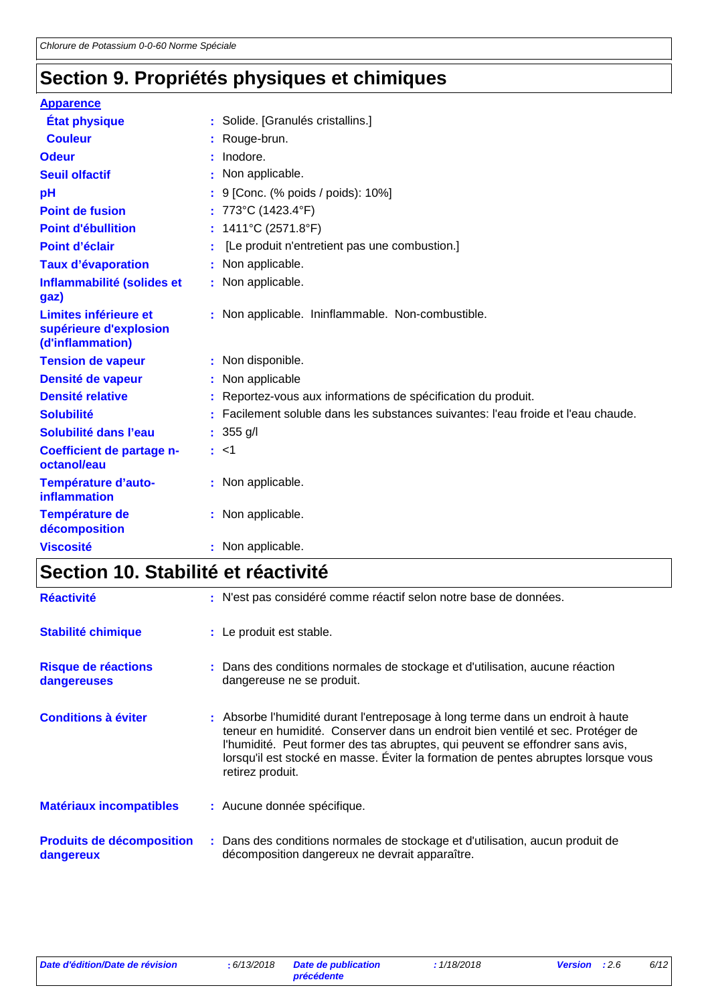# **Section 9. Propriétés physiques et chimiques**

| <b>Apparence</b>                                                    |                                                                                   |
|---------------------------------------------------------------------|-----------------------------------------------------------------------------------|
| <b>État physique</b>                                                | : Solide. [Granulés cristallins.]                                                 |
| <b>Couleur</b>                                                      | : Rouge-brun.                                                                     |
| <b>Odeur</b>                                                        | Inodore.                                                                          |
| <b>Seuil olfactif</b>                                               | : Non applicable.                                                                 |
| pH                                                                  | : 9 [Conc. (% poids / poids): 10%]                                                |
| <b>Point de fusion</b>                                              | : 773°C (1423.4°F)                                                                |
| <b>Point d'ébullition</b>                                           | : $1411^{\circ}$ C (2571.8°F)                                                     |
| Point d'éclair                                                      | [Le produit n'entretient pas une combustion.]                                     |
| <b>Taux d'évaporation</b>                                           | : Non applicable.                                                                 |
| Inflammabilité (solides et<br>gaz)                                  | : Non applicable.                                                                 |
| Limites inférieure et<br>supérieure d'explosion<br>(d'inflammation) | : Non applicable. Ininflammable. Non-combustible.                                 |
| <b>Tension de vapeur</b>                                            | : Non disponible.                                                                 |
| Densité de vapeur                                                   | : Non applicable                                                                  |
| <b>Densité relative</b>                                             | : Reportez-vous aux informations de spécification du produit.                     |
| <b>Solubilité</b>                                                   | : Facilement soluble dans les substances suivantes: l'eau froide et l'eau chaude. |
| Solubilité dans l'eau                                               | $: 355$ g/l                                                                       |
| Coefficient de partage n-<br>octanol/eau                            | : <1                                                                              |
| Température d'auto-<br><b>inflammation</b>                          | : Non applicable.                                                                 |
| Température de<br>décomposition                                     | : Non applicable.                                                                 |
| <b>Viscosité</b>                                                    | : Non applicable.                                                                 |

# **Section 10. Stabilité et réactivité**

| <b>Réactivité</b>                             | : N'est pas considéré comme réactif selon notre base de données.                                                                                                                                                                                                                                                                                            |
|-----------------------------------------------|-------------------------------------------------------------------------------------------------------------------------------------------------------------------------------------------------------------------------------------------------------------------------------------------------------------------------------------------------------------|
| <b>Stabilité chimique</b>                     | : Le produit est stable.                                                                                                                                                                                                                                                                                                                                    |
| Risque de réactions<br>dangereuses            | : Dans des conditions normales de stockage et d'utilisation, aucune réaction<br>dangereuse ne se produit.                                                                                                                                                                                                                                                   |
| <b>Conditions à éviter</b>                    | : Absorbe l'humidité durant l'entreposage à long terme dans un endroit à haute<br>teneur en humidité. Conserver dans un endroit bien ventilé et sec. Protéger de<br>l'humidité. Peut former des tas abruptes, qui peuvent se effondrer sans avis,<br>lorsqu'il est stocké en masse. Éviter la formation de pentes abruptes lorsque vous<br>retirez produit. |
| <b>Matériaux incompatibles</b>                | : Aucune donnée spécifique.                                                                                                                                                                                                                                                                                                                                 |
| <b>Produits de décomposition</b><br>dangereux | : Dans des conditions normales de stockage et d'utilisation, aucun produit de<br>décomposition dangereux ne devrait apparaître.                                                                                                                                                                                                                             |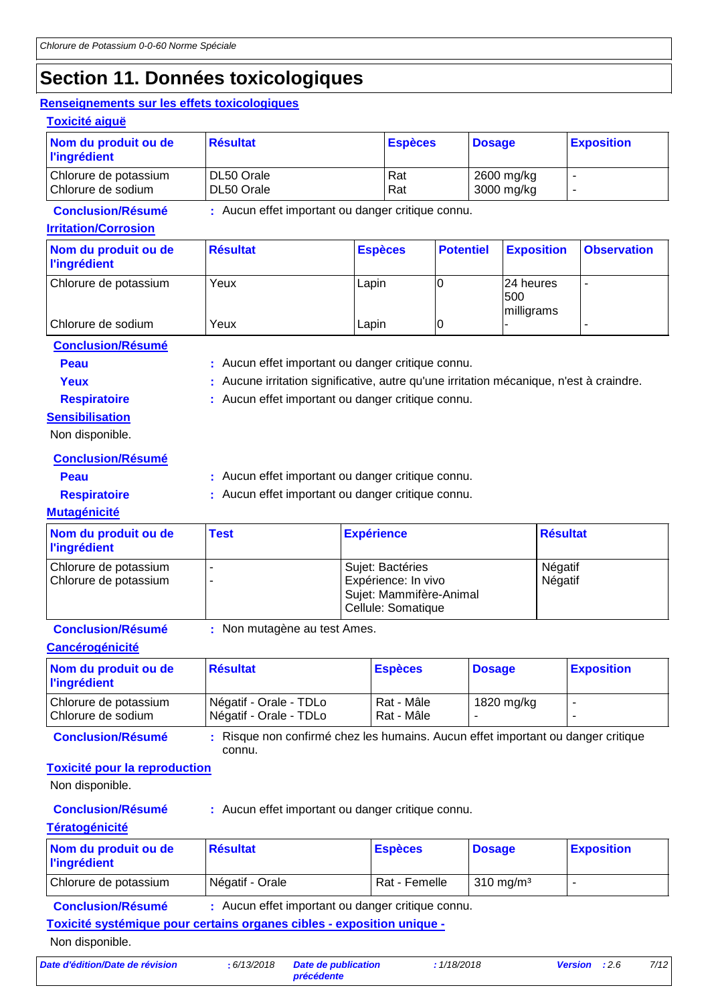# **Section 11. Données toxicologiques**

Chlorure de sodium Yeux Lapin 0 - -

#### **Renseignements sur les effets toxicologiques**

| enseignements sur les effets toxicologiques)            |                          |                                                   |    |                  |                          |                    |
|---------------------------------------------------------|--------------------------|---------------------------------------------------|----|------------------|--------------------------|--------------------|
| <b>Toxicité aiguë</b>                                   |                          |                                                   |    |                  |                          |                    |
| Nom du produit ou de<br><b>l'ingrédient</b>             | <b>Résultat</b>          | <b>Espèces</b>                                    |    | <b>Dosage</b>    |                          | <b>Exposition</b>  |
| Chlorure de potassium<br>Chlorure de sodium             | DL50 Orale<br>DL50 Orale | Rat<br>Rat                                        |    |                  | 2600 mg/kg<br>3000 mg/kg | -                  |
| <b>Conclusion/Résumé</b><br><b>Irritation/Corrosion</b> |                          | : Aucun effet important ou danger critique connu. |    |                  |                          |                    |
| Nom du produit ou de<br><b>l'ingrédient</b>             | <b>Résultat</b>          | <b>Espèces</b>                                    |    | <b>Potentiel</b> | <b>Exposition</b>        | <b>Observation</b> |
| Chlorure de potassium                                   | Yeux                     | Lapin                                             | 10 |                  | 24 heures<br>500         | ۰                  |

milligrams

**Conclusion/Résumé**

**Peau** : Aucun effet important ou danger critique connu.

Yeux **:** Aucune irritation significative, autre qu'une irritation mécanique, n'est à craindre. **Respiratoire :** Aucun effet important ou danger critique connu.

**Sensibilisation**

Non disponible.

**Conclusion/Résumé**

**Peau** : Aucun effet important ou danger critique connu.

**Respiratoire :** Aucun effet important ou danger critique connu.

#### **Mutagénicité**

| Nom du produit ou de<br><b>l'ingrédient</b>    | <b>Test</b> | <b>Expérience</b>                                                                        | Résultat           |
|------------------------------------------------|-------------|------------------------------------------------------------------------------------------|--------------------|
| Chlorure de potassium<br>Chlorure de potassium |             | Sujet: Bactéries<br>Expérience: In vivo<br>Sujet: Mammifère-Animal<br>Cellule: Somatique | Négatif<br>Négatif |

**Conclusion/Résumé :** Non mutagène au test Ames.

**Cancérogénicité**

| Nom du produit ou de<br><b>l'ingrédient</b> | <b>Résultat</b>                                  | <b>Espèces</b>           | <b>Dosage</b> | <b>Exposition</b> |
|---------------------------------------------|--------------------------------------------------|--------------------------|---------------|-------------------|
| Chlorure de potassium<br>Chlorure de sodium | Négatif - Orale - TDLo<br>Négatif - Orale - TDLo | Rat - Mâle<br>Rat - Mâle | 1820 mg/kg    |                   |

**Conclusion/Résumé :** Risque non confirmé chez les humains. Aucun effet important ou danger critique connu.

#### **Toxicité pour la reproduction**

Non disponible.

**Conclusion/Résumé :** Aucun effet important ou danger critique connu.

#### **Tératogénicité**

| Nom du produit ou de<br><b>l'ingrédient</b> | Résultat        | <b>Espèces</b> | <b>Dosage</b>                | <b>Exposition</b> |
|---------------------------------------------|-----------------|----------------|------------------------------|-------------------|
| Chlorure de potassium                       | Négatif - Orale | Rat - Femelle  | $\sim$ 310 ma/m <sup>3</sup> |                   |

**Conclusion/Résumé :** Aucun effet important ou danger critique connu.

**Toxicité systémique pour certains organes cibles - exposition unique -**

Non disponible.

*Date d'édition/Date de révision* **:** *6/13/2018 Date de publication*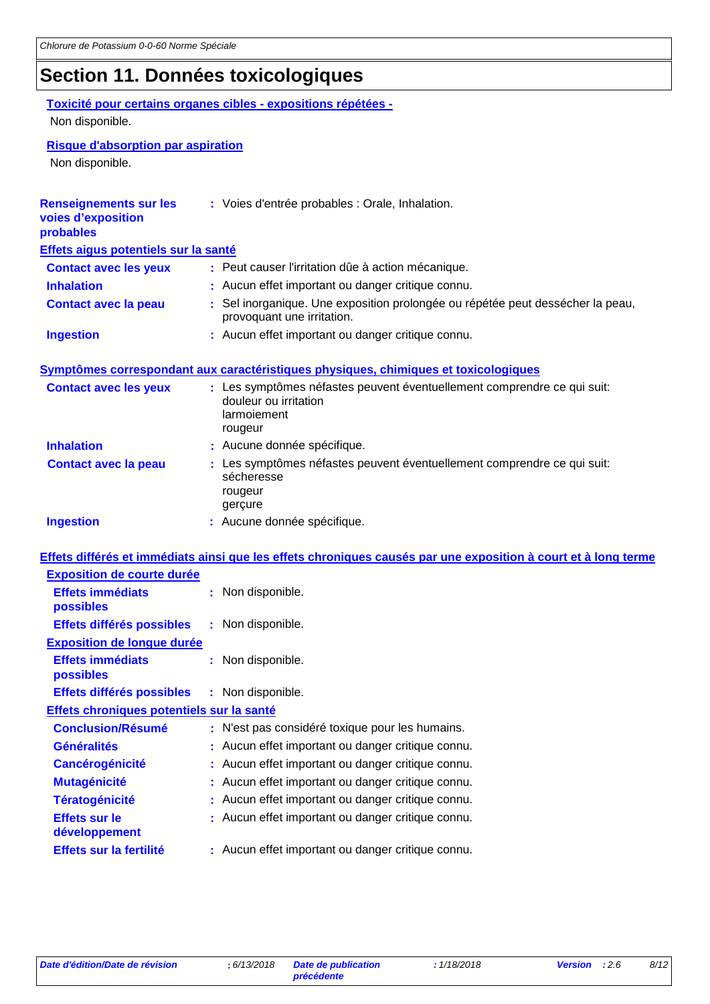# **Section 11. Données toxicologiques**

#### **Toxicité pour certains organes cibles - expositions répétées -** Non disponible.

**Risque d'absorption par aspiration**

Non disponible.

| voies d'exposition<br>probables           | : Voies d'entrée probables : Orale, Inhalation.                                                                            |
|-------------------------------------------|----------------------------------------------------------------------------------------------------------------------------|
| Effets aigus potentiels sur la santé      |                                                                                                                            |
| <b>Contact avec les yeux</b>              | : Peut causer l'irritation dûe à action mécanique.                                                                         |
| <b>Inhalation</b>                         | : Aucun effet important ou danger critique connu.                                                                          |
| <b>Contact avec la peau</b>               | : Sel inorganique. Une exposition prolongée ou répétée peut dessécher la peau,<br>provoquant une irritation.               |
| <b>Ingestion</b>                          | : Aucun effet important ou danger critique connu.                                                                          |
|                                           | Symptômes correspondant aux caractéristiques physiques, chimiques et toxicologiques                                        |
| <b>Contact avec les yeux</b>              | : Les symptômes néfastes peuvent éventuellement comprendre ce qui suit:<br>douleur ou irritation<br>larmoiement<br>rougeur |
| <b>Inhalation</b>                         | : Aucune donnée spécifique.                                                                                                |
| <b>Contact avec la peau</b>               | : Les symptômes néfastes peuvent éventuellement comprendre ce qui suit:<br>sécheresse<br>rougeur<br>gerçure                |
| <b>Ingestion</b>                          | : Aucune donnée spécifique.                                                                                                |
|                                           | Effets différés et immédiats ainsi que les effets chroniques causés par une exposition à court et à long terme             |
| <b>Exposition de courte durée</b>         |                                                                                                                            |
| <b>Effets immédiats</b><br>possibles      | : Non disponible.                                                                                                          |
|                                           |                                                                                                                            |
| Effets différés possibles                 | : Non disponible.                                                                                                          |
| <b>Exposition de longue durée</b>         |                                                                                                                            |
| <b>Effets immédiats</b><br>possibles      | : Non disponible.                                                                                                          |
| Effets différés possibles                 | : Non disponible.                                                                                                          |
| Effets chroniques potentiels sur la santé |                                                                                                                            |
| <b>Conclusion/Résumé</b>                  | : N'est pas considéré toxique pour les humains.                                                                            |
| <b>Généralités</b>                        | : Aucun effet important ou danger critique connu.                                                                          |
| <b>Cancérogénicité</b>                    | Aucun effet important ou danger critique connu.                                                                            |
| <b>Mutagénicité</b>                       | : Aucun effet important ou danger critique connu.                                                                          |
| <b>Tératogénicité</b>                     | : Aucun effet important ou danger critique connu.                                                                          |
| <b>Effets sur le</b><br>développement     | : Aucun effet important ou danger critique connu.                                                                          |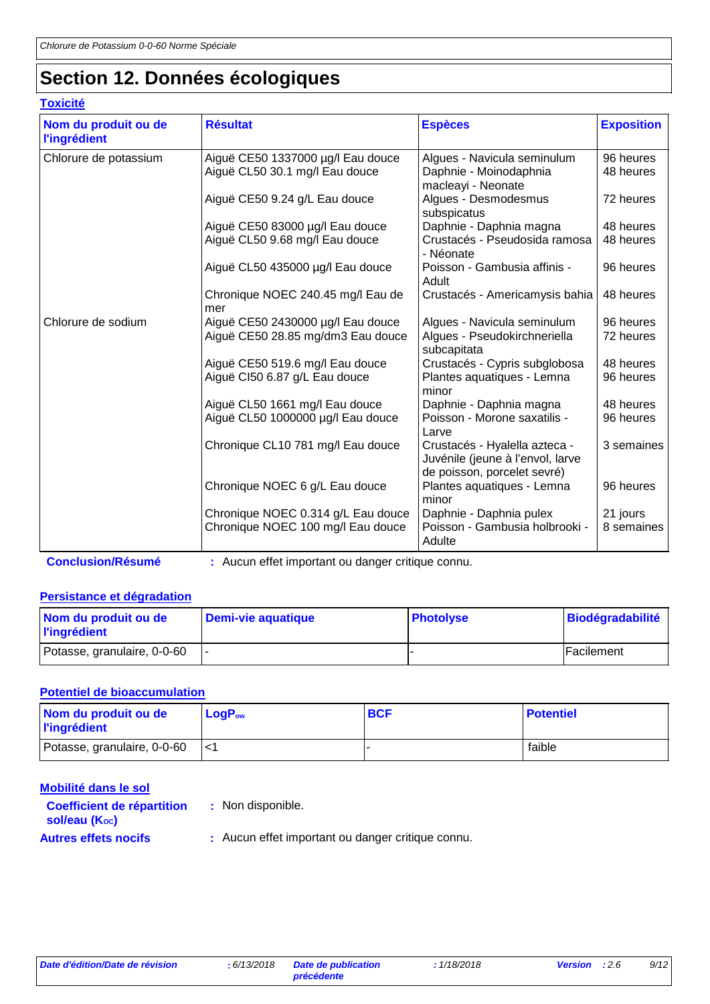# **Section 12. Données écologiques**

### **Toxicité**

| Nom du produit ou de<br><b>l'ingrédient</b> | <b>Résultat</b>                                                         | <b>Espèces</b>                                                                                   | <b>Exposition</b>      |
|---------------------------------------------|-------------------------------------------------------------------------|--------------------------------------------------------------------------------------------------|------------------------|
| Chlorure de potassium                       | Aiguë CE50 1337000 µg/l Eau douce<br>Aiguë CL50 30.1 mg/l Eau douce     | Algues - Navicula seminulum<br>Daphnie - Moinodaphnia<br>macleayi - Neonate                      | 96 heures<br>48 heures |
|                                             | Aiguë CE50 9.24 g/L Eau douce                                           | Algues - Desmodesmus<br>subspicatus                                                              | 72 heures              |
|                                             | Aiguë CE50 83000 µg/l Eau douce<br>Aiguë CL50 9.68 mg/l Eau douce       | Daphnie - Daphnia magna<br>Crustacés - Pseudosida ramosa<br>- Néonate                            | 48 heures<br>48 heures |
|                                             | Aiguë CL50 435000 µg/l Eau douce                                        | Poisson - Gambusia affinis -<br>Adult                                                            | 96 heures              |
|                                             | Chronique NOEC 240.45 mg/l Eau de<br>mer                                | Crustacés - Americamysis bahia                                                                   | 48 heures              |
| Chlorure de sodium                          | Aiguë CE50 2430000 µg/l Eau douce<br>Aiguë CE50 28.85 mg/dm3 Eau douce  | Algues - Navicula seminulum<br>Algues - Pseudokirchneriella<br>subcapitata                       | 96 heures<br>72 heures |
|                                             | Aiguë CE50 519.6 mg/l Eau douce<br>Aiguë CI50 6.87 g/L Eau douce        | Crustacés - Cypris subglobosa<br>Plantes aquatiques - Lemna<br>minor                             | 48 heures<br>96 heures |
|                                             | Aiguë CL50 1661 mg/l Eau douce<br>Aiguë CL50 1000000 µg/l Eau douce     | Daphnie - Daphnia magna<br>Poisson - Morone saxatilis -<br>Larve                                 | 48 heures<br>96 heures |
|                                             | Chronique CL10 781 mg/l Eau douce                                       | Crustacés - Hyalella azteca -<br>Juvénile (jeune à l'envol, larve<br>de poisson, porcelet sevré) | 3 semaines             |
|                                             | Chronique NOEC 6 g/L Eau douce                                          | Plantes aquatiques - Lemna<br>minor                                                              | 96 heures              |
|                                             | Chronique NOEC 0.314 g/L Eau douce<br>Chronique NOEC 100 mg/l Eau douce | Daphnie - Daphnia pulex<br>Poisson - Gambusia holbrooki -<br>Adulte                              | 21 jours<br>8 semaines |

**Conclusion/Résumé :** Aucun effet important ou danger critique connu.

### **Persistance et dégradation**

| Nom du produit ou de<br><b>l'ingrédient</b> | Demi-vie aquatique | <b>Photolyse</b> | <b>Biodégradabilité</b> |
|---------------------------------------------|--------------------|------------------|-------------------------|
| Potasse, granulaire, 0-0-60                 |                    |                  | Facilement              |

#### **Potentiel de bioaccumulation**

| Nom du produit ou de<br><b>l'ingrédient</b> | $LogP_{ow}$ | <b>BCF</b> | <b>Potentiel</b> |
|---------------------------------------------|-------------|------------|------------------|
| Potasse, granulaire, 0-0-60                 | l<1         |            | faible           |

| Mobilité dans le sol                                            |                                                   |
|-----------------------------------------------------------------|---------------------------------------------------|
| <b>Coefficient de répartition</b><br>sol/eau (K <sub>oc</sub> ) | : Non disponible.                                 |
| <b>Autres effets nocifs</b>                                     | : Aucun effet important ou danger critique connu. |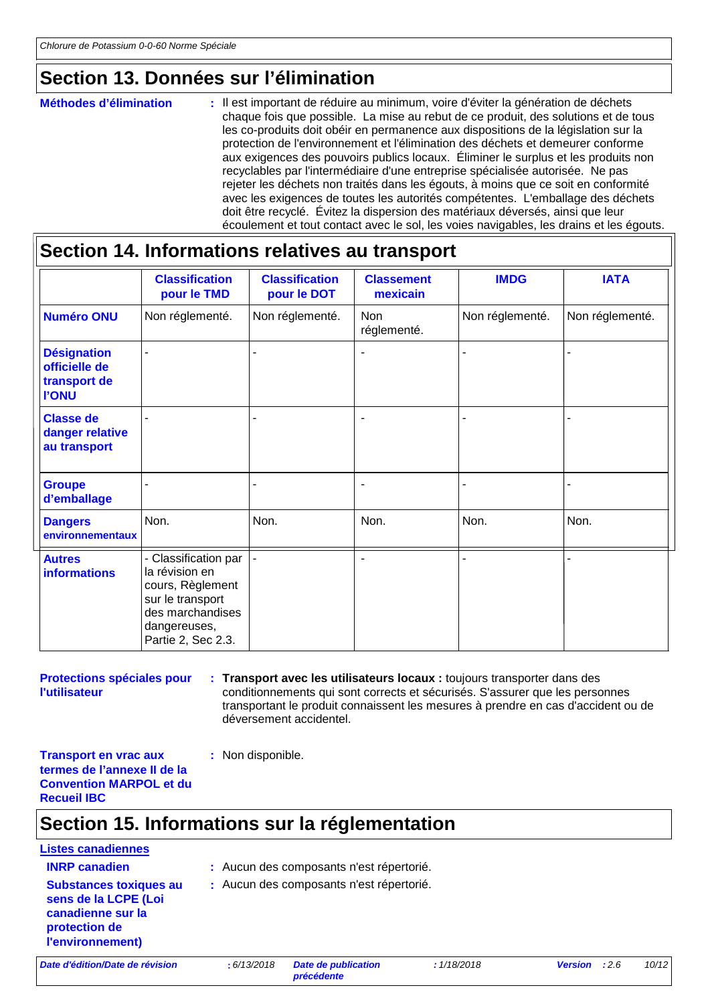### **Section 13. Données sur l'élimination**

#### : Il est important de réduire au minimum, voire d'éviter la génération de déchets chaque fois que possible. La mise au rebut de ce produit, des solutions et de tous les co-produits doit obéir en permanence aux dispositions de la législation sur la protection de l'environnement et l'élimination des déchets et demeurer conforme aux exigences des pouvoirs publics locaux. Éliminer le surplus et les produits non recyclables par l'intermédiaire d'une entreprise spécialisée autorisée. Ne pas rejeter les déchets non traités dans les égouts, à moins que ce soit en conformité avec les exigences de toutes les autorités compétentes. L'emballage des déchets doit être recyclé. Évitez la dispersion des matériaux déversés, ainsi que leur écoulement et tout contact avec le sol, les voies navigables, les drains et les égouts. **Méthodes d'élimination :**

### **Section 14. Informations relatives au transport**

|                                                                     | <b>Classification</b><br>pour le TMD                                                                                                     | <b>Classification</b><br>pour le DOT | <b>Classement</b><br>mexicain | <b>IMDG</b>     | <b>IATA</b>     |
|---------------------------------------------------------------------|------------------------------------------------------------------------------------------------------------------------------------------|--------------------------------------|-------------------------------|-----------------|-----------------|
| <b>Numéro ONU</b>                                                   | Non réglementé.                                                                                                                          | Non réglementé.                      | <b>Non</b><br>réglementé.     | Non réglementé. | Non réglementé. |
| <b>Désignation</b><br>officielle de<br>transport de<br><b>I'ONU</b> |                                                                                                                                          |                                      | ٠                             |                 |                 |
| <b>Classe de</b><br>danger relative<br>au transport                 |                                                                                                                                          |                                      |                               |                 |                 |
| <b>Groupe</b><br>d'emballage                                        |                                                                                                                                          | $\blacksquare$                       | $\blacksquare$                | ۰               |                 |
| <b>Dangers</b><br>environnementaux                                  | Non.                                                                                                                                     | Non.                                 | Non.                          | Non.            | Non.            |
| <b>Autres</b><br><b>informations</b>                                | - Classification par<br>la révision en<br>cours, Règlement<br>sur le transport<br>des marchandises<br>dangereuses,<br>Partie 2, Sec 2.3. |                                      | ٠                             |                 |                 |

**Protections spéciales pour l'utilisateur**

**Transport avec les utilisateurs locaux :** toujours transporter dans des **:** conditionnements qui sont corrects et sécurisés. S'assurer que les personnes transportant le produit connaissent les mesures à prendre en cas d'accident ou de déversement accidentel.

**Transport en vrac aux termes de l'annexe II de la Convention MARPOL et du Recueil IBC**

# **Section 15. Informations sur la réglementation**

**:** Non disponible.

# **Listes canadiennes Substances toxiques au**

- **INRP canadien :** Aucun des composants n'est répertorié.
- **sens de la LCPE (Loi canadienne sur la protection de :** Aucun des composants n'est répertorié.

*Date d'édition/Date de révision* **:** *6/13/2018 Date de publication* 

**l'environnement)**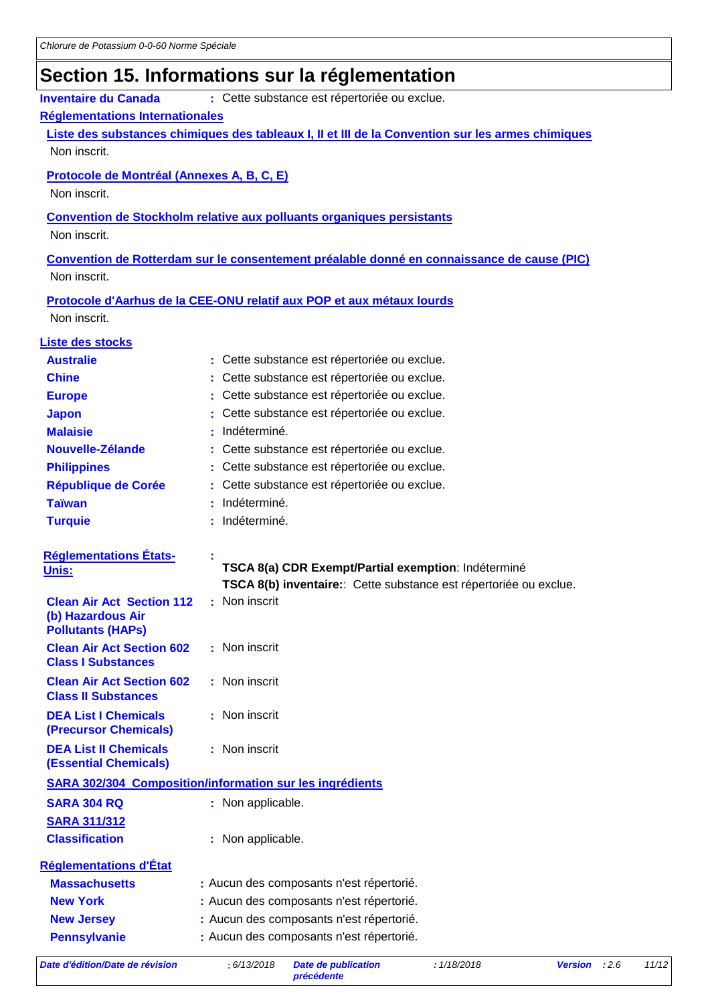# **Section 15. Informations sur la réglementation**

| <b>Inventaire du Canada</b>                          | : Cette substance est répertoriée ou exclue.                                                      |
|------------------------------------------------------|---------------------------------------------------------------------------------------------------|
| Réglementations Internationales                      |                                                                                                   |
|                                                      | Liste des substances chimiques des tableaux I, II et III de la Convention sur les armes chimiques |
| Non inscrit.                                         |                                                                                                   |
| <b>Protocole de Montréal (Annexes A, B, C, E)</b>    |                                                                                                   |
| Non inscrit.                                         |                                                                                                   |
|                                                      | <b>Convention de Stockholm relative aux polluants organiques persistants</b>                      |
| Non inscrit.                                         |                                                                                                   |
|                                                      | Convention de Rotterdam sur le consentement préalable donné en connaissance de cause (PIC)        |
| Non inscrit.                                         |                                                                                                   |
|                                                      | Protocole d'Aarhus de la CEE-ONU relatif aux POP et aux métaux lourds                             |
| Non inscrit.                                         |                                                                                                   |
|                                                      |                                                                                                   |
| Liste des stocks<br><b>Australie</b>                 | : Cette substance est répertoriée ou exclue.                                                      |
| <b>Chine</b>                                         | Cette substance est répertoriée ou exclue.                                                        |
| <b>Europe</b>                                        | Cette substance est répertoriée ou exclue.                                                        |
| <b>Japon</b>                                         | Cette substance est répertoriée ou exclue.                                                        |
| <b>Malaisie</b>                                      | Indéterminé.                                                                                      |
| Nouvelle-Zélande                                     | Cette substance est répertoriée ou exclue.                                                        |
| <b>Philippines</b>                                   | Cette substance est répertoriée ou exclue.                                                        |
| <b>République de Corée</b>                           | Cette substance est répertoriée ou exclue.                                                        |
| <b>Taïwan</b>                                        | Indéterminé.                                                                                      |
| <b>Turquie</b>                                       | Indéterminé.                                                                                      |
|                                                      |                                                                                                   |
| <b>Réglementations États-</b><br>Unis:               | TSCA 8(a) CDR Exempt/Partial exemption: Indéterminé                                               |
|                                                      | TSCA 8(b) inventaire: Cette substance est répertoriée ou exclue.                                  |
| <b>Clean Air Act Section 112</b>                     | : Non inscrit                                                                                     |
| (b) Hazardous Air<br><b>Pollutants (HAPs)</b>        |                                                                                                   |
| <b>Clean Air Act Section 602</b>                     | : Non inscrit                                                                                     |
| <b>Class I Substances</b>                            |                                                                                                   |
| <b>Clean Air Act Section 602</b>                     | : Non inscrit                                                                                     |
| <b>Class II Substances</b>                           |                                                                                                   |
| <b>DEA List I Chemicals</b><br>(Precursor Chemicals) | : Non inscrit                                                                                     |
| <b>DEA List II Chemicals</b>                         | : Non inscrit                                                                                     |
| <b>(Essential Chemicals)</b>                         |                                                                                                   |
|                                                      | <b>SARA 302/304 Composition/information sur les ingrédients</b>                                   |
| <b>SARA 304 RQ</b>                                   | : Non applicable.                                                                                 |
| <b>SARA 311/312</b>                                  |                                                                                                   |
| <b>Classification</b>                                | : Non applicable.                                                                                 |
| <b>Réglementations d'État</b>                        |                                                                                                   |
| <b>Massachusetts</b>                                 | : Aucun des composants n'est répertorié.                                                          |
| <b>New York</b>                                      | : Aucun des composants n'est répertorié.                                                          |
| <b>New Jersey</b>                                    | : Aucun des composants n'est répertorié.                                                          |
| <b>Pennsylvanie</b>                                  | : Aucun des composants n'est répertorié.                                                          |
|                                                      |                                                                                                   |

*Date d'édition/Date de révision* **:** *6/13/2018 Date de publication*